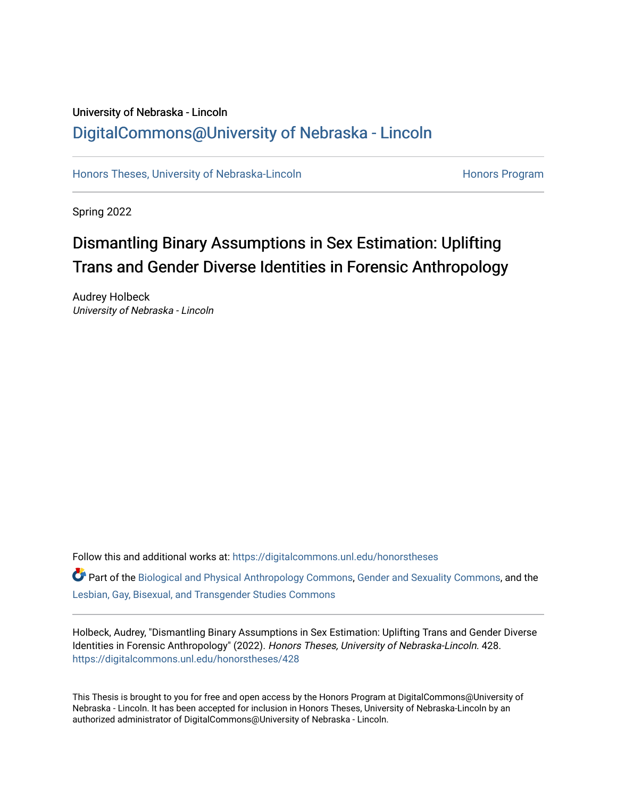### University of Nebraska - Lincoln [DigitalCommons@University of Nebraska - Lincoln](https://digitalcommons.unl.edu/)

[Honors Theses, University of Nebraska-Lincoln](https://digitalcommons.unl.edu/honorstheses) **Honors Program** Honors Program

Spring 2022

# Dismantling Binary Assumptions in Sex Estimation: Uplifting Trans and Gender Diverse Identities in Forensic Anthropology

Audrey Holbeck University of Nebraska - Lincoln

Follow this and additional works at: [https://digitalcommons.unl.edu/honorstheses](https://digitalcommons.unl.edu/honorstheses?utm_source=digitalcommons.unl.edu%2Fhonorstheses%2F428&utm_medium=PDF&utm_campaign=PDFCoverPages)

Part of the [Biological and Physical Anthropology Commons](http://network.bepress.com/hgg/discipline/320?utm_source=digitalcommons.unl.edu%2Fhonorstheses%2F428&utm_medium=PDF&utm_campaign=PDFCoverPages), [Gender and Sexuality Commons,](http://network.bepress.com/hgg/discipline/420?utm_source=digitalcommons.unl.edu%2Fhonorstheses%2F428&utm_medium=PDF&utm_campaign=PDFCoverPages) and the [Lesbian, Gay, Bisexual, and Transgender Studies Commons](http://network.bepress.com/hgg/discipline/560?utm_source=digitalcommons.unl.edu%2Fhonorstheses%2F428&utm_medium=PDF&utm_campaign=PDFCoverPages) 

Holbeck, Audrey, "Dismantling Binary Assumptions in Sex Estimation: Uplifting Trans and Gender Diverse Identities in Forensic Anthropology" (2022). Honors Theses, University of Nebraska-Lincoln. 428. [https://digitalcommons.unl.edu/honorstheses/428](https://digitalcommons.unl.edu/honorstheses/428?utm_source=digitalcommons.unl.edu%2Fhonorstheses%2F428&utm_medium=PDF&utm_campaign=PDFCoverPages)

This Thesis is brought to you for free and open access by the Honors Program at DigitalCommons@University of Nebraska - Lincoln. It has been accepted for inclusion in Honors Theses, University of Nebraska-Lincoln by an authorized administrator of DigitalCommons@University of Nebraska - Lincoln.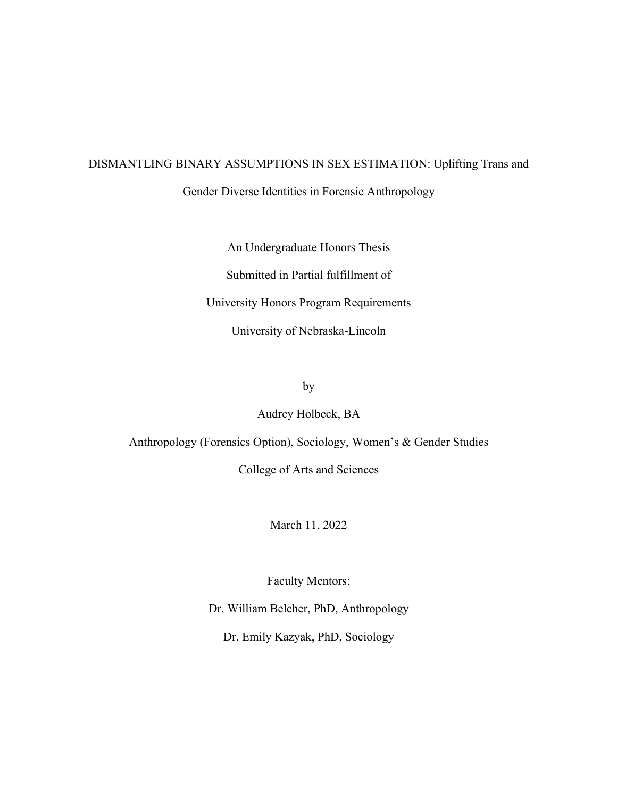# DISMANTLING BINARY ASSUMPTIONS IN SEX ESTIMATION: Uplifting Trans and Gender Diverse Identities in Forensic Anthropology

An Undergraduate Honors Thesis Submitted in Partial fulfillment of University Honors Program Requirements University of Nebraska-Lincoln

by

Audrey Holbeck, BA

Anthropology (Forensics Option), Sociology, Women's & Gender Studies

College of Arts and Sciences

March 11, 2022

Faculty Mentors:

Dr. William Belcher, PhD, Anthropology

Dr. Emily Kazyak, PhD, Sociology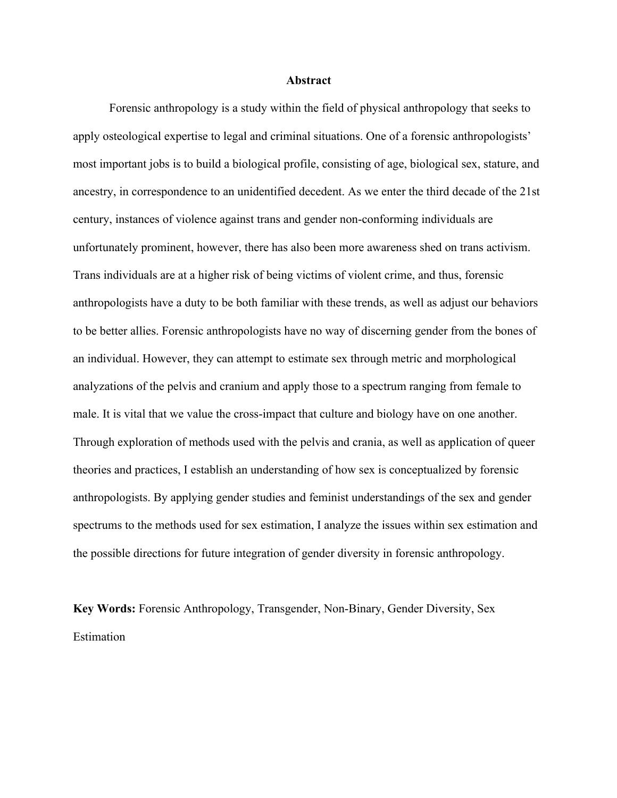#### **Abstract**

Forensic anthropology is a study within the field of physical anthropology that seeks to apply osteological expertise to legal and criminal situations. One of a forensic anthropologists' most important jobs is to build a biological profile, consisting of age, biological sex, stature, and ancestry, in correspondence to an unidentified decedent. As we enter the third decade of the 21st century, instances of violence against trans and gender non-conforming individuals are unfortunately prominent, however, there has also been more awareness shed on trans activism. Trans individuals are at a higher risk of being victims of violent crime, and thus, forensic anthropologists have a duty to be both familiar with these trends, as well as adjust our behaviors to be better allies. Forensic anthropologists have no way of discerning gender from the bones of an individual. However, they can attempt to estimate sex through metric and morphological analyzations of the pelvis and cranium and apply those to a spectrum ranging from female to male. It is vital that we value the cross-impact that culture and biology have on one another. Through exploration of methods used with the pelvis and crania, as well as application of queer theories and practices, I establish an understanding of how sex is conceptualized by forensic anthropologists. By applying gender studies and feminist understandings of the sex and gender spectrums to the methods used for sex estimation, I analyze the issues within sex estimation and the possible directions for future integration of gender diversity in forensic anthropology.

**Key Words:** Forensic Anthropology, Transgender, Non-Binary, Gender Diversity, Sex Estimation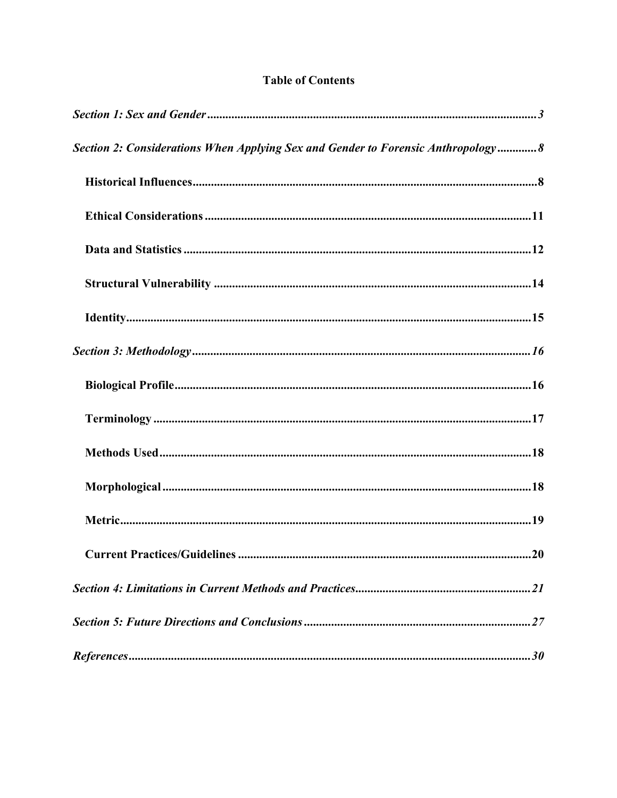| Section 2: Considerations When Applying Sex and Gender to Forensic Anthropology8 |                 |
|----------------------------------------------------------------------------------|-----------------|
|                                                                                  |                 |
|                                                                                  |                 |
|                                                                                  |                 |
|                                                                                  |                 |
|                                                                                  |                 |
|                                                                                  |                 |
|                                                                                  |                 |
|                                                                                  |                 |
|                                                                                  |                 |
|                                                                                  |                 |
|                                                                                  |                 |
| <b>Current Practices/Guidelines </b>                                             | $\overline{20}$ |
|                                                                                  |                 |
|                                                                                  |                 |
| $\label{eq:regret} {\it References.}}.30$                                        |                 |

### **Table of Contents**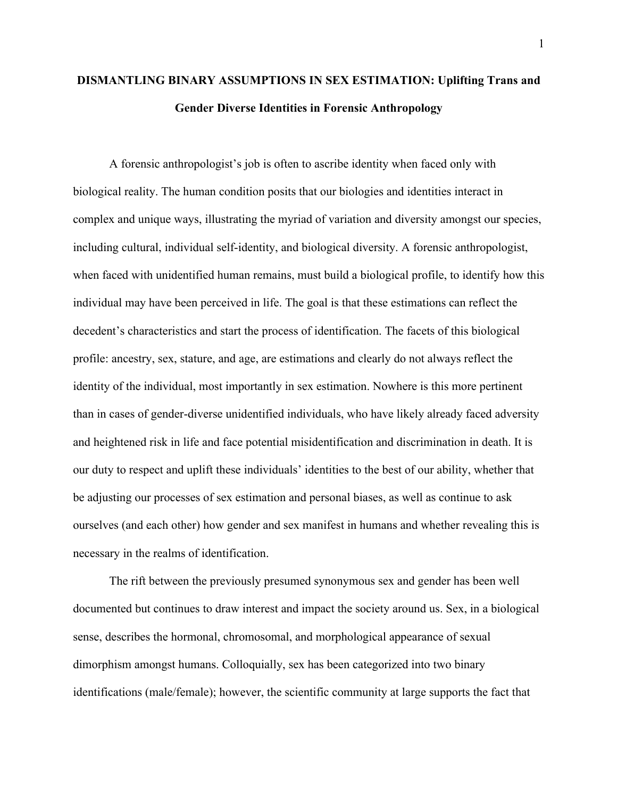### **DISMANTLING BINARY ASSUMPTIONS IN SEX ESTIMATION: Uplifting Trans and Gender Diverse Identities in Forensic Anthropology**

A forensic anthropologist's job is often to ascribe identity when faced only with biological reality. The human condition posits that our biologies and identities interact in complex and unique ways, illustrating the myriad of variation and diversity amongst our species, including cultural, individual self-identity, and biological diversity. A forensic anthropologist, when faced with unidentified human remains, must build a biological profile, to identify how this individual may have been perceived in life. The goal is that these estimations can reflect the decedent's characteristics and start the process of identification. The facets of this biological profile: ancestry, sex, stature, and age, are estimations and clearly do not always reflect the identity of the individual, most importantly in sex estimation. Nowhere is this more pertinent than in cases of gender-diverse unidentified individuals, who have likely already faced adversity and heightened risk in life and face potential misidentification and discrimination in death. It is our duty to respect and uplift these individuals' identities to the best of our ability, whether that be adjusting our processes of sex estimation and personal biases, as well as continue to ask ourselves (and each other) how gender and sex manifest in humans and whether revealing this is necessary in the realms of identification.

The rift between the previously presumed synonymous sex and gender has been well documented but continues to draw interest and impact the society around us. Sex, in a biological sense, describes the hormonal, chromosomal, and morphological appearance of sexual dimorphism amongst humans. Colloquially, sex has been categorized into two binary identifications (male/female); however, the scientific community at large supports the fact that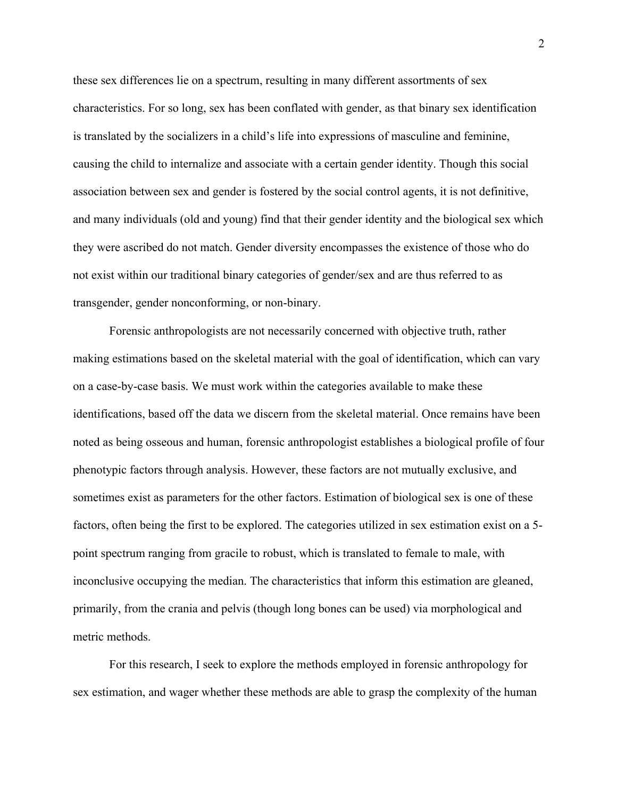these sex differences lie on a spectrum, resulting in many different assortments of sex characteristics. For so long, sex has been conflated with gender, as that binary sex identification is translated by the socializers in a child's life into expressions of masculine and feminine, causing the child to internalize and associate with a certain gender identity. Though this social association between sex and gender is fostered by the social control agents, it is not definitive, and many individuals (old and young) find that their gender identity and the biological sex which they were ascribed do not match. Gender diversity encompasses the existence of those who do not exist within our traditional binary categories of gender/sex and are thus referred to as transgender, gender nonconforming, or non-binary.

Forensic anthropologists are not necessarily concerned with objective truth, rather making estimations based on the skeletal material with the goal of identification, which can vary on a case-by-case basis. We must work within the categories available to make these identifications, based off the data we discern from the skeletal material. Once remains have been noted as being osseous and human, forensic anthropologist establishes a biological profile of four phenotypic factors through analysis. However, these factors are not mutually exclusive, and sometimes exist as parameters for the other factors. Estimation of biological sex is one of these factors, often being the first to be explored. The categories utilized in sex estimation exist on a 5 point spectrum ranging from gracile to robust, which is translated to female to male, with inconclusive occupying the median. The characteristics that inform this estimation are gleaned, primarily, from the crania and pelvis (though long bones can be used) via morphological and metric methods.

For this research, I seek to explore the methods employed in forensic anthropology for sex estimation, and wager whether these methods are able to grasp the complexity of the human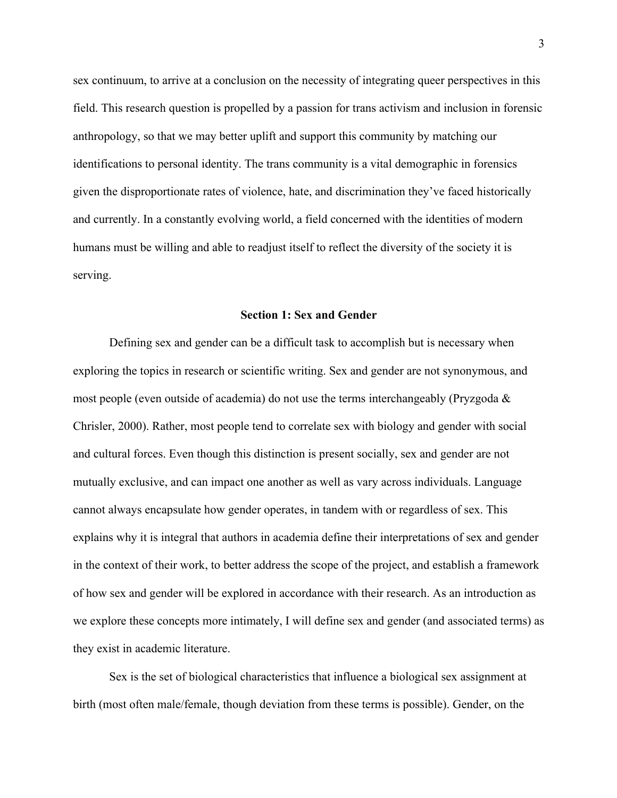sex continuum, to arrive at a conclusion on the necessity of integrating queer perspectives in this field. This research question is propelled by a passion for trans activism and inclusion in forensic anthropology, so that we may better uplift and support this community by matching our identifications to personal identity. The trans community is a vital demographic in forensics given the disproportionate rates of violence, hate, and discrimination they've faced historically and currently. In a constantly evolving world, a field concerned with the identities of modern humans must be willing and able to readjust itself to reflect the diversity of the society it is serving.

#### **Section 1: Sex and Gender**

Defining sex and gender can be a difficult task to accomplish but is necessary when exploring the topics in research or scientific writing. Sex and gender are not synonymous, and most people (even outside of academia) do not use the terms interchangeably (Pryzgoda & Chrisler, 2000). Rather, most people tend to correlate sex with biology and gender with social and cultural forces. Even though this distinction is present socially, sex and gender are not mutually exclusive, and can impact one another as well as vary across individuals. Language cannot always encapsulate how gender operates, in tandem with or regardless of sex. This explains why it is integral that authors in academia define their interpretations of sex and gender in the context of their work, to better address the scope of the project, and establish a framework of how sex and gender will be explored in accordance with their research. As an introduction as we explore these concepts more intimately, I will define sex and gender (and associated terms) as they exist in academic literature.

Sex is the set of biological characteristics that influence a biological sex assignment at birth (most often male/female, though deviation from these terms is possible). Gender, on the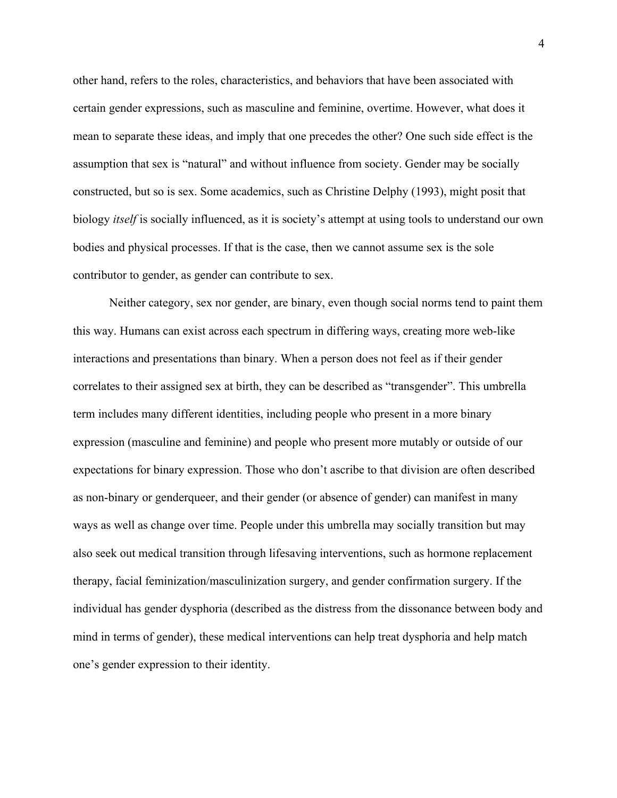other hand, refers to the roles, characteristics, and behaviors that have been associated with certain gender expressions, such as masculine and feminine, overtime. However, what does it mean to separate these ideas, and imply that one precedes the other? One such side effect is the assumption that sex is "natural" and without influence from society. Gender may be socially constructed, but so is sex. Some academics, such as Christine Delphy (1993), might posit that biology *itself* is socially influenced, as it is society's attempt at using tools to understand our own bodies and physical processes. If that is the case, then we cannot assume sex is the sole contributor to gender, as gender can contribute to sex.

Neither category, sex nor gender, are binary, even though social norms tend to paint them this way. Humans can exist across each spectrum in differing ways, creating more web-like interactions and presentations than binary. When a person does not feel as if their gender correlates to their assigned sex at birth, they can be described as "transgender". This umbrella term includes many different identities, including people who present in a more binary expression (masculine and feminine) and people who present more mutably or outside of our expectations for binary expression. Those who don't ascribe to that division are often described as non-binary or genderqueer, and their gender (or absence of gender) can manifest in many ways as well as change over time. People under this umbrella may socially transition but may also seek out medical transition through lifesaving interventions, such as hormone replacement therapy, facial feminization/masculinization surgery, and gender confirmation surgery. If the individual has gender dysphoria (described as the distress from the dissonance between body and mind in terms of gender), these medical interventions can help treat dysphoria and help match one's gender expression to their identity.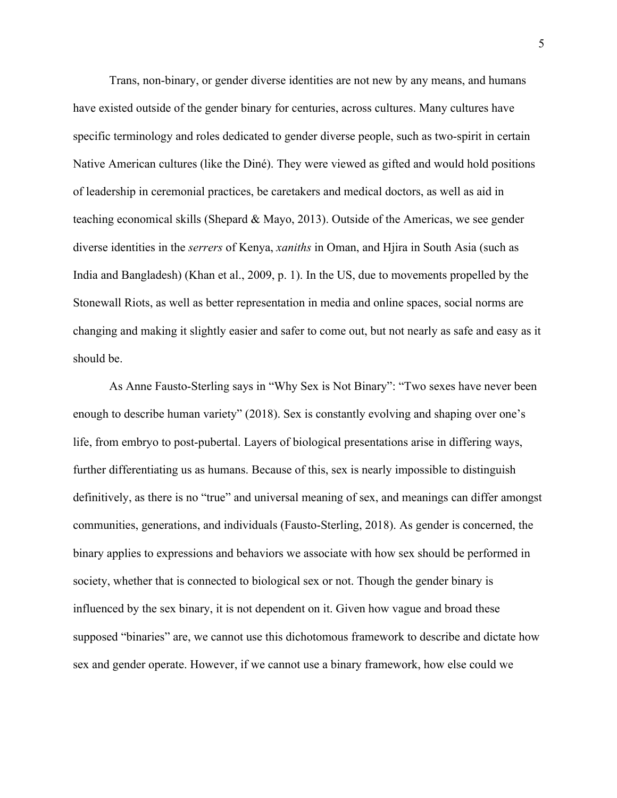Trans, non-binary, or gender diverse identities are not new by any means, and humans have existed outside of the gender binary for centuries, across cultures. Many cultures have specific terminology and roles dedicated to gender diverse people, such as two-spirit in certain Native American cultures (like the Diné). They were viewed as gifted and would hold positions of leadership in ceremonial practices, be caretakers and medical doctors, as well as aid in teaching economical skills (Shepard & Mayo, 2013). Outside of the Americas, we see gender diverse identities in the *serrers* of Kenya, *xaniths* in Oman, and Hjira in South Asia (such as India and Bangladesh) (Khan et al., 2009, p. 1). In the US, due to movements propelled by the Stonewall Riots, as well as better representation in media and online spaces, social norms are changing and making it slightly easier and safer to come out, but not nearly as safe and easy as it should be.

As Anne Fausto-Sterling says in "Why Sex is Not Binary": "Two sexes have never been enough to describe human variety" (2018). Sex is constantly evolving and shaping over one's life, from embryo to post-pubertal. Layers of biological presentations arise in differing ways, further differentiating us as humans. Because of this, sex is nearly impossible to distinguish definitively, as there is no "true" and universal meaning of sex, and meanings can differ amongst communities, generations, and individuals (Fausto-Sterling, 2018). As gender is concerned, the binary applies to expressions and behaviors we associate with how sex should be performed in society, whether that is connected to biological sex or not. Though the gender binary is influenced by the sex binary, it is not dependent on it. Given how vague and broad these supposed "binaries" are, we cannot use this dichotomous framework to describe and dictate how sex and gender operate. However, if we cannot use a binary framework, how else could we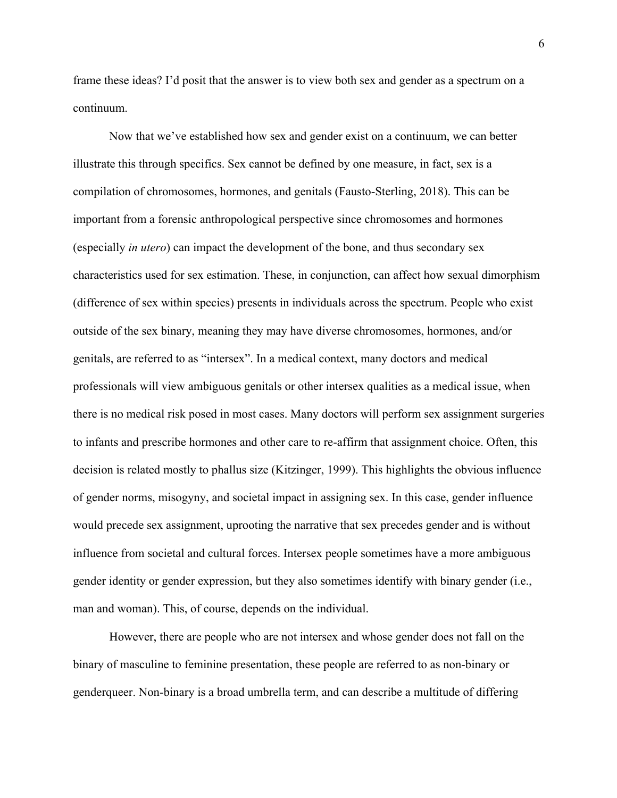frame these ideas? I'd posit that the answer is to view both sex and gender as a spectrum on a continuum.

Now that we've established how sex and gender exist on a continuum, we can better illustrate this through specifics. Sex cannot be defined by one measure, in fact, sex is a compilation of chromosomes, hormones, and genitals (Fausto-Sterling, 2018). This can be important from a forensic anthropological perspective since chromosomes and hormones (especially *in utero*) can impact the development of the bone, and thus secondary sex characteristics used for sex estimation. These, in conjunction, can affect how sexual dimorphism (difference of sex within species) presents in individuals across the spectrum. People who exist outside of the sex binary, meaning they may have diverse chromosomes, hormones, and/or genitals, are referred to as "intersex". In a medical context, many doctors and medical professionals will view ambiguous genitals or other intersex qualities as a medical issue, when there is no medical risk posed in most cases. Many doctors will perform sex assignment surgeries to infants and prescribe hormones and other care to re-affirm that assignment choice. Often, this decision is related mostly to phallus size (Kitzinger, 1999). This highlights the obvious influence of gender norms, misogyny, and societal impact in assigning sex. In this case, gender influence would precede sex assignment, uprooting the narrative that sex precedes gender and is without influence from societal and cultural forces. Intersex people sometimes have a more ambiguous gender identity or gender expression, but they also sometimes identify with binary gender (i.e., man and woman). This, of course, depends on the individual.

However, there are people who are not intersex and whose gender does not fall on the binary of masculine to feminine presentation, these people are referred to as non-binary or genderqueer. Non-binary is a broad umbrella term, and can describe a multitude of differing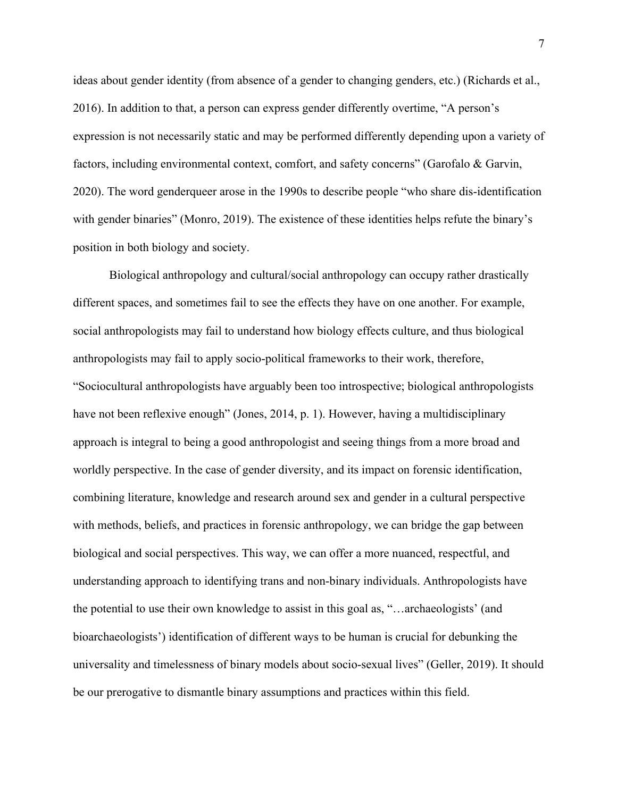ideas about gender identity (from absence of a gender to changing genders, etc.) (Richards et al., 2016). In addition to that, a person can express gender differently overtime, "A person's expression is not necessarily static and may be performed differently depending upon a variety of factors, including environmental context, comfort, and safety concerns" (Garofalo & Garvin, 2020). The word genderqueer arose in the 1990s to describe people "who share dis-identification with gender binaries" (Monro, 2019). The existence of these identities helps refute the binary's position in both biology and society.

Biological anthropology and cultural/social anthropology can occupy rather drastically different spaces, and sometimes fail to see the effects they have on one another. For example, social anthropologists may fail to understand how biology effects culture, and thus biological anthropologists may fail to apply socio-political frameworks to their work, therefore, "Sociocultural anthropologists have arguably been too introspective; biological anthropologists have not been reflexive enough" (Jones, 2014, p. 1). However, having a multidisciplinary approach is integral to being a good anthropologist and seeing things from a more broad and worldly perspective. In the case of gender diversity, and its impact on forensic identification, combining literature, knowledge and research around sex and gender in a cultural perspective with methods, beliefs, and practices in forensic anthropology, we can bridge the gap between biological and social perspectives. This way, we can offer a more nuanced, respectful, and understanding approach to identifying trans and non-binary individuals. Anthropologists have the potential to use their own knowledge to assist in this goal as, "…archaeologists' (and bioarchaeologists') identification of different ways to be human is crucial for debunking the universality and timelessness of binary models about socio-sexual lives" (Geller, 2019). It should be our prerogative to dismantle binary assumptions and practices within this field.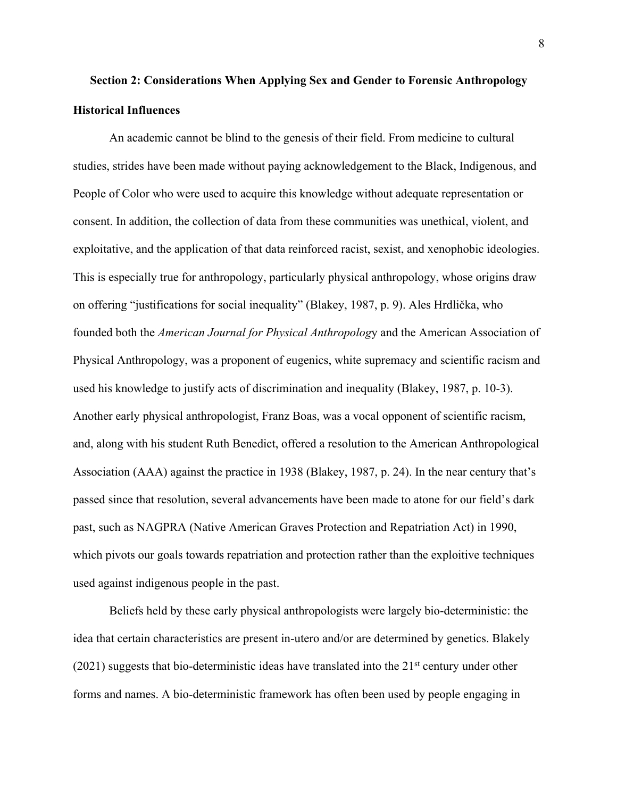## **Section 2: Considerations When Applying Sex and Gender to Forensic Anthropology Historical Influences**

An academic cannot be blind to the genesis of their field. From medicine to cultural studies, strides have been made without paying acknowledgement to the Black, Indigenous, and People of Color who were used to acquire this knowledge without adequate representation or consent. In addition, the collection of data from these communities was unethical, violent, and exploitative, and the application of that data reinforced racist, sexist, and xenophobic ideologies. This is especially true for anthropology, particularly physical anthropology, whose origins draw on offering "justifications for social inequality" (Blakey, 1987, p. 9). Ales Hrdlička, who founded both the *American Journal for Physical Anthropolog*y and the American Association of Physical Anthropology, was a proponent of eugenics, white supremacy and scientific racism and used his knowledge to justify acts of discrimination and inequality (Blakey, 1987, p. 10-3). Another early physical anthropologist, Franz Boas, was a vocal opponent of scientific racism, and, along with his student Ruth Benedict, offered a resolution to the American Anthropological Association (AAA) against the practice in 1938 (Blakey, 1987, p. 24). In the near century that's passed since that resolution, several advancements have been made to atone for our field's dark past, such as NAGPRA (Native American Graves Protection and Repatriation Act) in 1990, which pivots our goals towards repatriation and protection rather than the exploitive techniques used against indigenous people in the past.

Beliefs held by these early physical anthropologists were largely bio-deterministic: the idea that certain characteristics are present in-utero and/or are determined by genetics. Blakely  $(2021)$  suggests that bio-deterministic ideas have translated into the  $21<sup>st</sup>$  century under other forms and names. A bio-deterministic framework has often been used by people engaging in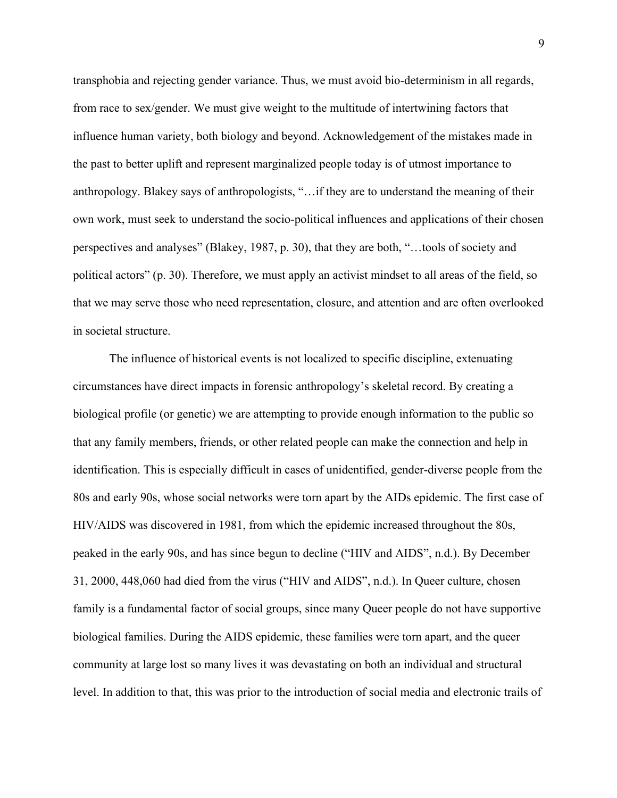transphobia and rejecting gender variance. Thus, we must avoid bio-determinism in all regards, from race to sex/gender. We must give weight to the multitude of intertwining factors that influence human variety, both biology and beyond. Acknowledgement of the mistakes made in the past to better uplift and represent marginalized people today is of utmost importance to anthropology. Blakey says of anthropologists, "…if they are to understand the meaning of their own work, must seek to understand the socio-political influences and applications of their chosen perspectives and analyses" (Blakey, 1987, p. 30), that they are both, "…tools of society and political actors" (p. 30). Therefore, we must apply an activist mindset to all areas of the field, so that we may serve those who need representation, closure, and attention and are often overlooked in societal structure.

The influence of historical events is not localized to specific discipline, extenuating circumstances have direct impacts in forensic anthropology's skeletal record. By creating a biological profile (or genetic) we are attempting to provide enough information to the public so that any family members, friends, or other related people can make the connection and help in identification. This is especially difficult in cases of unidentified, gender-diverse people from the 80s and early 90s, whose social networks were torn apart by the AIDs epidemic. The first case of HIV/AIDS was discovered in 1981, from which the epidemic increased throughout the 80s, peaked in the early 90s, and has since begun to decline ("HIV and AIDS", n.d.). By December 31, 2000, 448,060 had died from the virus ("HIV and AIDS", n.d.). In Queer culture, chosen family is a fundamental factor of social groups, since many Queer people do not have supportive biological families. During the AIDS epidemic, these families were torn apart, and the queer community at large lost so many lives it was devastating on both an individual and structural level. In addition to that, this was prior to the introduction of social media and electronic trails of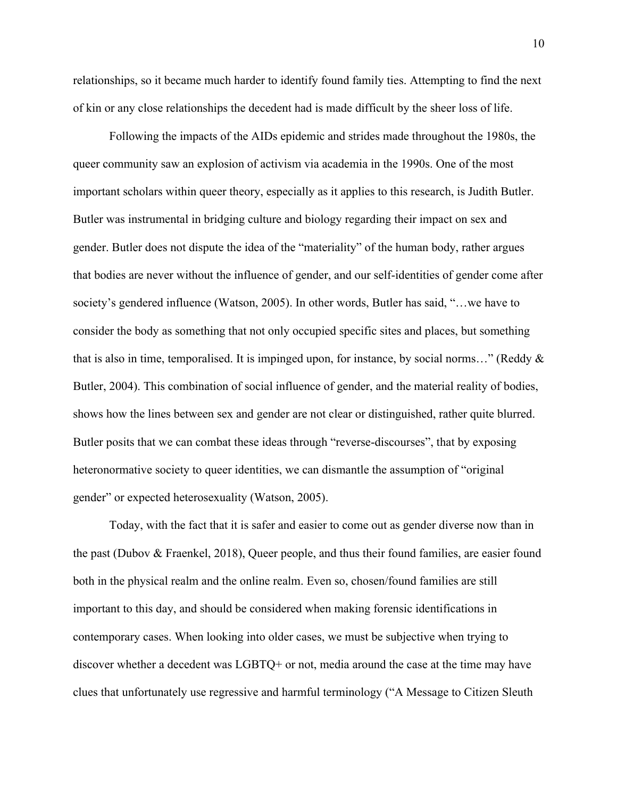relationships, so it became much harder to identify found family ties. Attempting to find the next of kin or any close relationships the decedent had is made difficult by the sheer loss of life.

Following the impacts of the AIDs epidemic and strides made throughout the 1980s, the queer community saw an explosion of activism via academia in the 1990s. One of the most important scholars within queer theory, especially as it applies to this research, is Judith Butler. Butler was instrumental in bridging culture and biology regarding their impact on sex and gender. Butler does not dispute the idea of the "materiality" of the human body, rather argues that bodies are never without the influence of gender, and our self-identities of gender come after society's gendered influence (Watson, 2005). In other words, Butler has said, "…we have to consider the body as something that not only occupied specific sites and places, but something that is also in time, temporalised. It is impinged upon, for instance, by social norms..." (Reddy  $\&$ Butler, 2004). This combination of social influence of gender, and the material reality of bodies, shows how the lines between sex and gender are not clear or distinguished, rather quite blurred. Butler posits that we can combat these ideas through "reverse-discourses", that by exposing heteronormative society to queer identities, we can dismantle the assumption of "original gender" or expected heterosexuality (Watson, 2005).

Today, with the fact that it is safer and easier to come out as gender diverse now than in the past (Dubov & Fraenkel, 2018), Queer people, and thus their found families, are easier found both in the physical realm and the online realm. Even so, chosen/found families are still important to this day, and should be considered when making forensic identifications in contemporary cases. When looking into older cases, we must be subjective when trying to discover whether a decedent was LGBTQ+ or not, media around the case at the time may have clues that unfortunately use regressive and harmful terminology ("A Message to Citizen Sleuth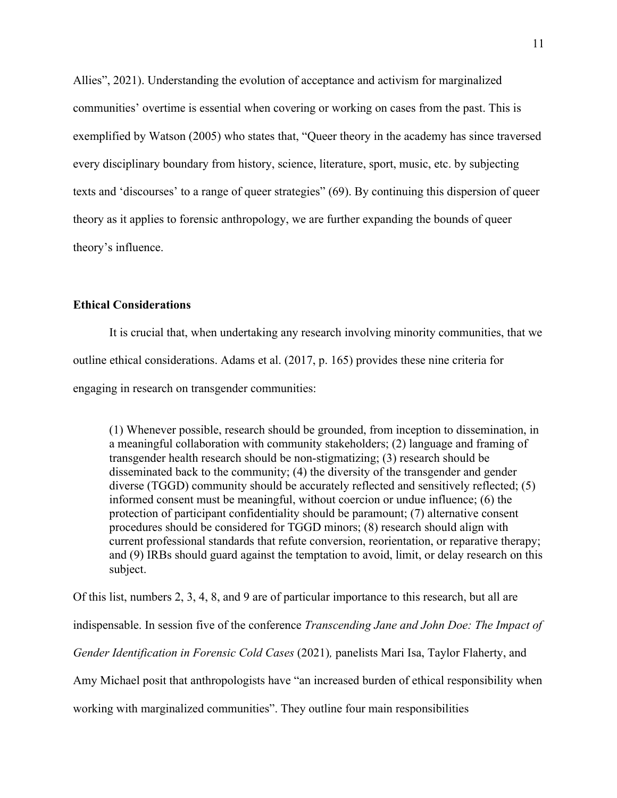Allies", 2021). Understanding the evolution of acceptance and activism for marginalized communities' overtime is essential when covering or working on cases from the past. This is exemplified by Watson (2005) who states that, "Queer theory in the academy has since traversed every disciplinary boundary from history, science, literature, sport, music, etc. by subjecting texts and 'discourses' to a range of queer strategies" (69). By continuing this dispersion of queer theory as it applies to forensic anthropology, we are further expanding the bounds of queer theory's influence.

#### **Ethical Considerations**

It is crucial that, when undertaking any research involving minority communities, that we outline ethical considerations. Adams et al. (2017, p. 165) provides these nine criteria for engaging in research on transgender communities:

(1) Whenever possible, research should be grounded, from inception to dissemination, in a meaningful collaboration with community stakeholders; (2) language and framing of transgender health research should be non-stigmatizing; (3) research should be disseminated back to the community; (4) the diversity of the transgender and gender diverse (TGGD) community should be accurately reflected and sensitively reflected; (5) informed consent must be meaningful, without coercion or undue influence; (6) the protection of participant confidentiality should be paramount; (7) alternative consent procedures should be considered for TGGD minors; (8) research should align with current professional standards that refute conversion, reorientation, or reparative therapy; and (9) IRBs should guard against the temptation to avoid, limit, or delay research on this subject.

Of this list, numbers 2, 3, 4, 8, and 9 are of particular importance to this research, but all are

indispensable. In session five of the conference *Transcending Jane and John Doe: The Impact of* 

*Gender Identification in Forensic Cold Cases* (2021)*,* panelists Mari Isa, Taylor Flaherty, and

Amy Michael posit that anthropologists have "an increased burden of ethical responsibility when

working with marginalized communities". They outline four main responsibilities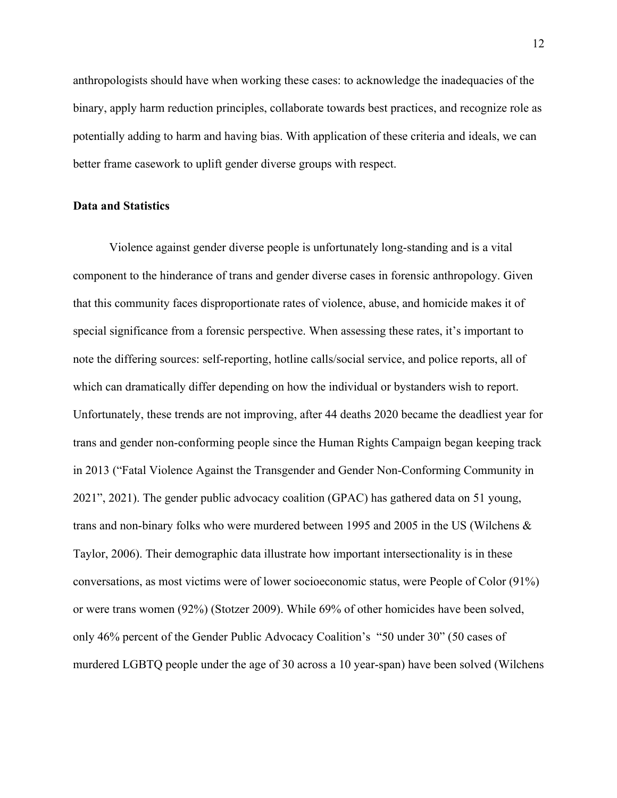anthropologists should have when working these cases: to acknowledge the inadequacies of the binary, apply harm reduction principles, collaborate towards best practices, and recognize role as potentially adding to harm and having bias. With application of these criteria and ideals, we can better frame casework to uplift gender diverse groups with respect.

#### **Data and Statistics**

Violence against gender diverse people is unfortunately long-standing and is a vital component to the hinderance of trans and gender diverse cases in forensic anthropology. Given that this community faces disproportionate rates of violence, abuse, and homicide makes it of special significance from a forensic perspective. When assessing these rates, it's important to note the differing sources: self-reporting, hotline calls/social service, and police reports, all of which can dramatically differ depending on how the individual or bystanders wish to report. Unfortunately, these trends are not improving, after 44 deaths 2020 became the deadliest year for trans and gender non-conforming people since the Human Rights Campaign began keeping track in 2013 ("Fatal Violence Against the Transgender and Gender Non-Conforming Community in 2021", 2021). The gender public advocacy coalition (GPAC) has gathered data on 51 young, trans and non-binary folks who were murdered between 1995 and 2005 in the US (Wilchens & Taylor, 2006). Their demographic data illustrate how important intersectionality is in these conversations, as most victims were of lower socioeconomic status, were People of Color (91%) or were trans women (92%) (Stotzer 2009). While 69% of other homicides have been solved, only 46% percent of the Gender Public Advocacy Coalition's "50 under 30" (50 cases of murdered LGBTQ people under the age of 30 across a 10 year-span) have been solved (Wilchens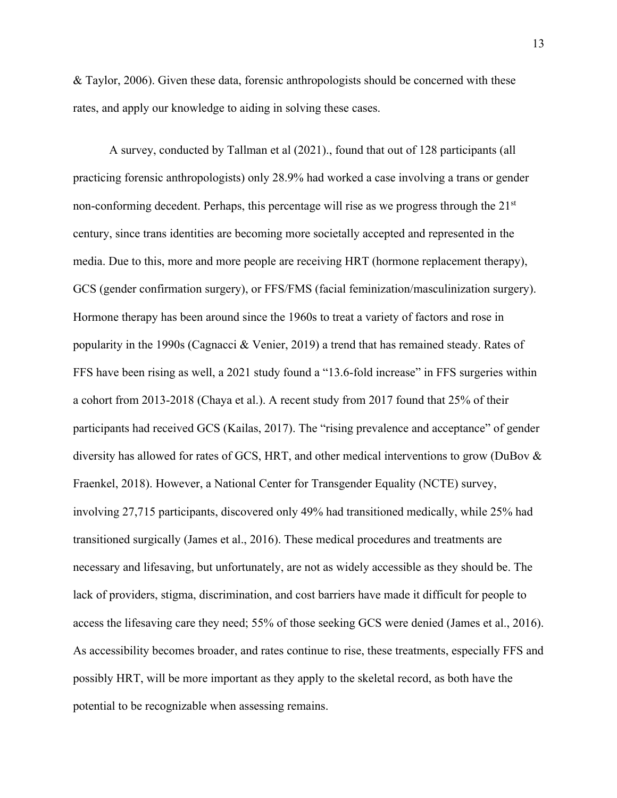& Taylor, 2006). Given these data, forensic anthropologists should be concerned with these rates, and apply our knowledge to aiding in solving these cases.

A survey, conducted by Tallman et al (2021)., found that out of 128 participants (all practicing forensic anthropologists) only 28.9% had worked a case involving a trans or gender non-conforming decedent. Perhaps, this percentage will rise as we progress through the 21<sup>st</sup> century, since trans identities are becoming more societally accepted and represented in the media. Due to this, more and more people are receiving HRT (hormone replacement therapy), GCS (gender confirmation surgery), or FFS/FMS (facial feminization/masculinization surgery). Hormone therapy has been around since the 1960s to treat a variety of factors and rose in popularity in the 1990s (Cagnacci & Venier, 2019) a trend that has remained steady. Rates of FFS have been rising as well, a 2021 study found a "13.6-fold increase" in FFS surgeries within a cohort from 2013-2018 (Chaya et al.). A recent study from 2017 found that 25% of their participants had received GCS (Kailas, 2017). The "rising prevalence and acceptance" of gender diversity has allowed for rates of GCS, HRT, and other medical interventions to grow (DuBov & Fraenkel, 2018). However, a National Center for Transgender Equality (NCTE) survey, involving 27,715 participants, discovered only 49% had transitioned medically, while 25% had transitioned surgically (James et al., 2016). These medical procedures and treatments are necessary and lifesaving, but unfortunately, are not as widely accessible as they should be. The lack of providers, stigma, discrimination, and cost barriers have made it difficult for people to access the lifesaving care they need; 55% of those seeking GCS were denied (James et al., 2016). As accessibility becomes broader, and rates continue to rise, these treatments, especially FFS and possibly HRT, will be more important as they apply to the skeletal record, as both have the potential to be recognizable when assessing remains.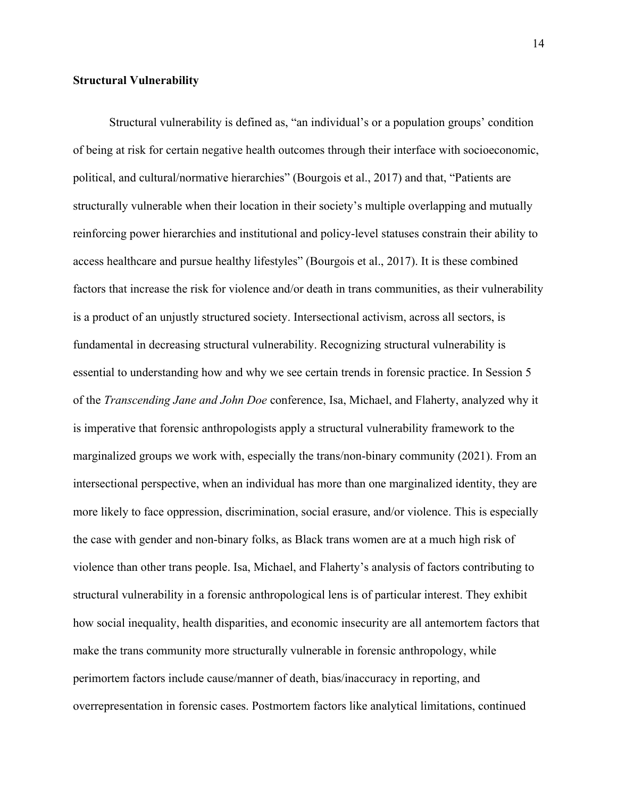#### **Structural Vulnerability**

Structural vulnerability is defined as, "an individual's or a population groups' condition of being at risk for certain negative health outcomes through their interface with socioeconomic, political, and cultural/normative hierarchies" (Bourgois et al., 2017) and that, "Patients are structurally vulnerable when their location in their society's multiple overlapping and mutually reinforcing power hierarchies and institutional and policy-level statuses constrain their ability to access healthcare and pursue healthy lifestyles" (Bourgois et al., 2017). It is these combined factors that increase the risk for violence and/or death in trans communities, as their vulnerability is a product of an unjustly structured society. Intersectional activism, across all sectors, is fundamental in decreasing structural vulnerability. Recognizing structural vulnerability is essential to understanding how and why we see certain trends in forensic practice. In Session 5 of the *Transcending Jane and John Doe* conference, Isa, Michael, and Flaherty, analyzed why it is imperative that forensic anthropologists apply a structural vulnerability framework to the marginalized groups we work with, especially the trans/non-binary community (2021). From an intersectional perspective, when an individual has more than one marginalized identity, they are more likely to face oppression, discrimination, social erasure, and/or violence. This is especially the case with gender and non-binary folks, as Black trans women are at a much high risk of violence than other trans people. Isa, Michael, and Flaherty's analysis of factors contributing to structural vulnerability in a forensic anthropological lens is of particular interest. They exhibit how social inequality, health disparities, and economic insecurity are all antemortem factors that make the trans community more structurally vulnerable in forensic anthropology, while perimortem factors include cause/manner of death, bias/inaccuracy in reporting, and overrepresentation in forensic cases. Postmortem factors like analytical limitations, continued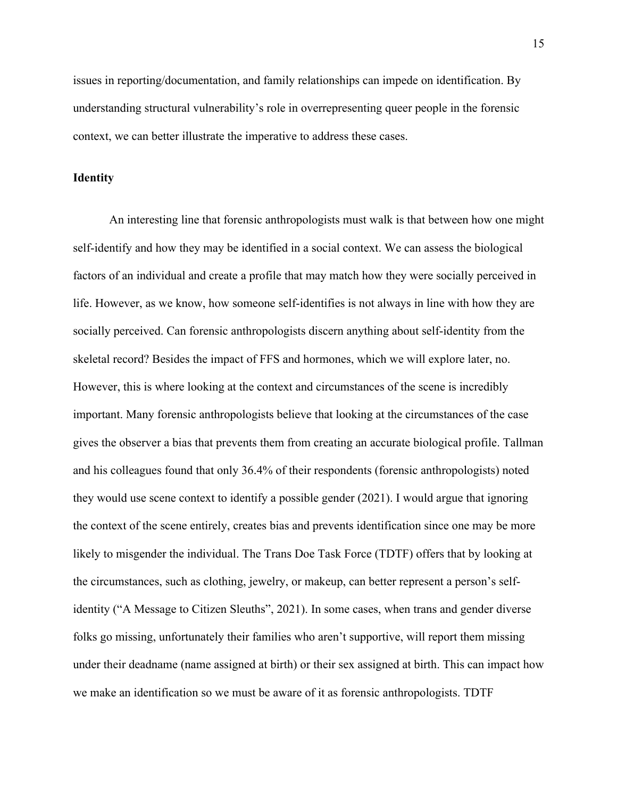issues in reporting/documentation, and family relationships can impede on identification. By understanding structural vulnerability's role in overrepresenting queer people in the forensic context, we can better illustrate the imperative to address these cases.

#### **Identity**

An interesting line that forensic anthropologists must walk is that between how one might self-identify and how they may be identified in a social context. We can assess the biological factors of an individual and create a profile that may match how they were socially perceived in life. However, as we know, how someone self-identifies is not always in line with how they are socially perceived. Can forensic anthropologists discern anything about self-identity from the skeletal record? Besides the impact of FFS and hormones, which we will explore later, no. However, this is where looking at the context and circumstances of the scene is incredibly important. Many forensic anthropologists believe that looking at the circumstances of the case gives the observer a bias that prevents them from creating an accurate biological profile. Tallman and his colleagues found that only 36.4% of their respondents (forensic anthropologists) noted they would use scene context to identify a possible gender (2021). I would argue that ignoring the context of the scene entirely, creates bias and prevents identification since one may be more likely to misgender the individual. The Trans Doe Task Force (TDTF) offers that by looking at the circumstances, such as clothing, jewelry, or makeup, can better represent a person's selfidentity ("A Message to Citizen Sleuths", 2021). In some cases, when trans and gender diverse folks go missing, unfortunately their families who aren't supportive, will report them missing under their deadname (name assigned at birth) or their sex assigned at birth. This can impact how we make an identification so we must be aware of it as forensic anthropologists. TDTF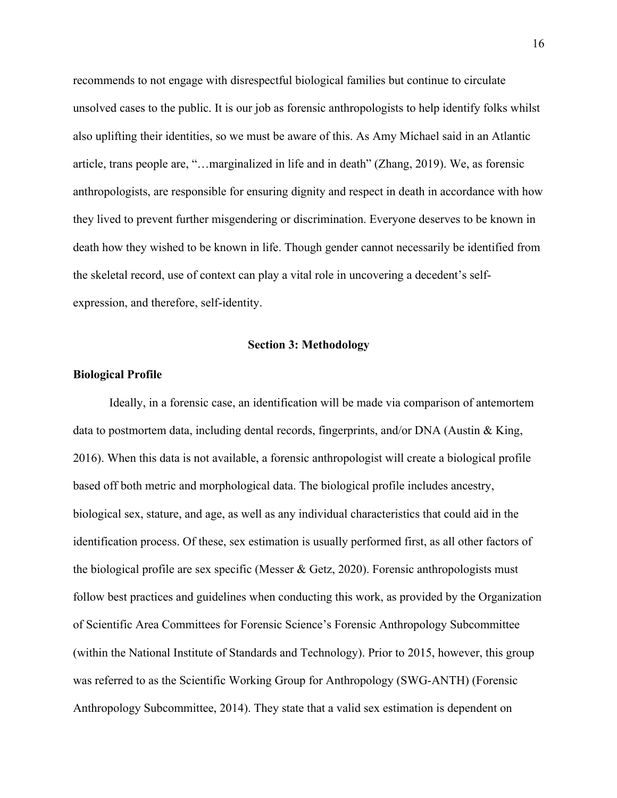recommends to not engage with disrespectful biological families but continue to circulate unsolved cases to the public. It is our job as forensic anthropologists to help identify folks whilst also uplifting their identities, so we must be aware of this. As Amy Michael said in an Atlantic article, trans people are, "…marginalized in life and in death" (Zhang, 2019). We, as forensic anthropologists, are responsible for ensuring dignity and respect in death in accordance with how they lived to prevent further misgendering or discrimination. Everyone deserves to be known in death how they wished to be known in life. Though gender cannot necessarily be identified from the skeletal record, use of context can play a vital role in uncovering a decedent's selfexpression, and therefore, self-identity.

#### **Section 3: Methodology**

#### **Biological Profile**

Ideally, in a forensic case, an identification will be made via comparison of antemortem data to postmortem data, including dental records, fingerprints, and/or DNA (Austin & King, 2016). When this data is not available, a forensic anthropologist will create a biological profile based off both metric and morphological data. The biological profile includes ancestry, biological sex, stature, and age, as well as any individual characteristics that could aid in the identification process. Of these, sex estimation is usually performed first, as all other factors of the biological profile are sex specific (Messer & Getz, 2020). Forensic anthropologists must follow best practices and guidelines when conducting this work, as provided by the Organization of Scientific Area Committees for Forensic Science's Forensic Anthropology Subcommittee (within the National Institute of Standards and Technology). Prior to 2015, however, this group was referred to as the Scientific Working Group for Anthropology (SWG-ANTH) (Forensic Anthropology Subcommittee, 2014). They state that a valid sex estimation is dependent on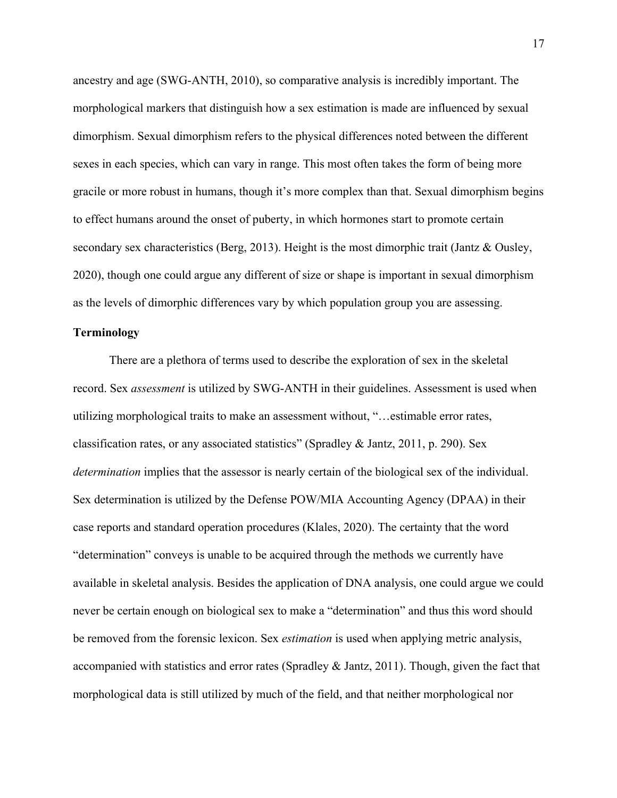ancestry and age (SWG-ANTH, 2010), so comparative analysis is incredibly important. The morphological markers that distinguish how a sex estimation is made are influenced by sexual dimorphism. Sexual dimorphism refers to the physical differences noted between the different sexes in each species, which can vary in range. This most often takes the form of being more gracile or more robust in humans, though it's more complex than that. Sexual dimorphism begins to effect humans around the onset of puberty, in which hormones start to promote certain secondary sex characteristics (Berg, 2013). Height is the most dimorphic trait (Jantz & Ousley, 2020), though one could argue any different of size or shape is important in sexual dimorphism as the levels of dimorphic differences vary by which population group you are assessing.

#### **Terminology**

There are a plethora of terms used to describe the exploration of sex in the skeletal record. Sex *assessment* is utilized by SWG-ANTH in their guidelines. Assessment is used when utilizing morphological traits to make an assessment without, "…estimable error rates, classification rates, or any associated statistics" (Spradley & Jantz, 2011, p. 290). Sex *determination* implies that the assessor is nearly certain of the biological sex of the individual. Sex determination is utilized by the Defense POW/MIA Accounting Agency (DPAA) in their case reports and standard operation procedures (Klales, 2020). The certainty that the word "determination" conveys is unable to be acquired through the methods we currently have available in skeletal analysis. Besides the application of DNA analysis, one could argue we could never be certain enough on biological sex to make a "determination" and thus this word should be removed from the forensic lexicon. Sex *estimation* is used when applying metric analysis, accompanied with statistics and error rates (Spradley & Jantz, 2011). Though, given the fact that morphological data is still utilized by much of the field, and that neither morphological nor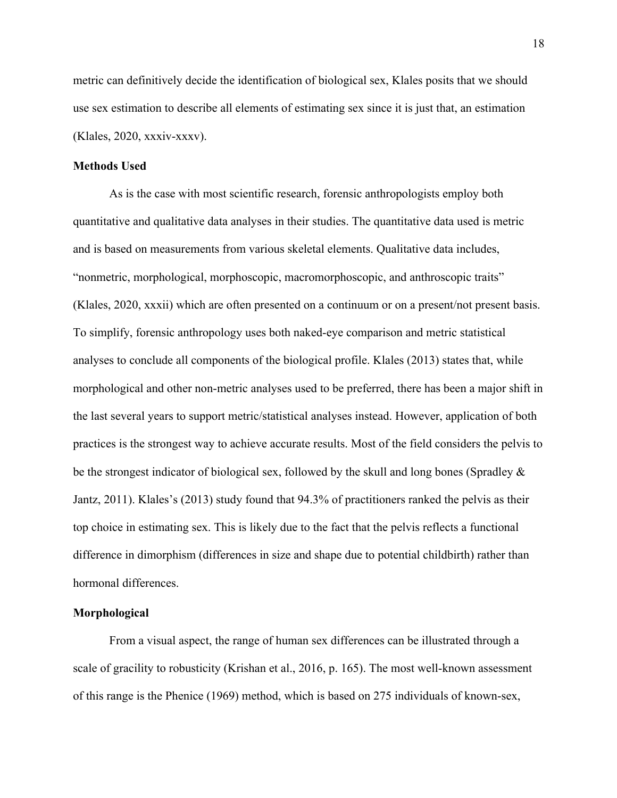metric can definitively decide the identification of biological sex, Klales posits that we should use sex estimation to describe all elements of estimating sex since it is just that, an estimation (Klales, 2020, xxxiv-xxxv).

#### **Methods Used**

As is the case with most scientific research, forensic anthropologists employ both quantitative and qualitative data analyses in their studies. The quantitative data used is metric and is based on measurements from various skeletal elements. Qualitative data includes, "nonmetric, morphological, morphoscopic, macromorphoscopic, and anthroscopic traits" (Klales, 2020, xxxii) which are often presented on a continuum or on a present/not present basis. To simplify, forensic anthropology uses both naked-eye comparison and metric statistical analyses to conclude all components of the biological profile. Klales (2013) states that, while morphological and other non-metric analyses used to be preferred, there has been a major shift in the last several years to support metric/statistical analyses instead. However, application of both practices is the strongest way to achieve accurate results. Most of the field considers the pelvis to be the strongest indicator of biological sex, followed by the skull and long bones (Spradley & Jantz, 2011). Klales's (2013) study found that 94.3% of practitioners ranked the pelvis as their top choice in estimating sex. This is likely due to the fact that the pelvis reflects a functional difference in dimorphism (differences in size and shape due to potential childbirth) rather than hormonal differences.

#### **Morphological**

From a visual aspect, the range of human sex differences can be illustrated through a scale of gracility to robusticity (Krishan et al., 2016, p. 165). The most well-known assessment of this range is the Phenice (1969) method, which is based on 275 individuals of known-sex,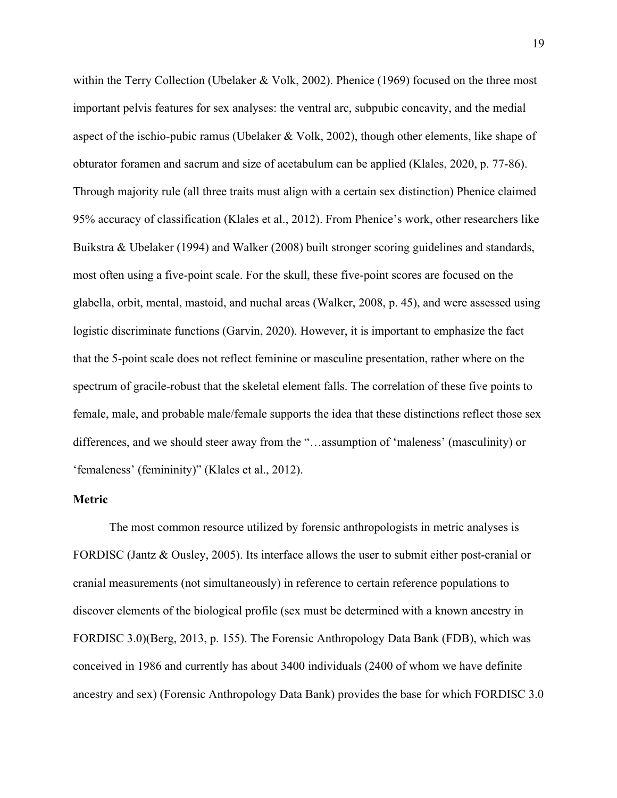within the Terry Collection (Ubelaker & Volk, 2002). Phenice (1969) focused on the three most important pelvis features for sex analyses: the ventral arc, subpubic concavity, and the medial aspect of the ischio-pubic ramus (Ubelaker & Volk, 2002), though other elements, like shape of obturator foramen and sacrum and size of acetabulum can be applied (Klales, 2020, p. 77-86). Through majority rule (all three traits must align with a certain sex distinction) Phenice claimed 95% accuracy of classification (Klales et al., 2012). From Phenice's work, other researchers like Buikstra & Ubelaker (1994) and Walker (2008) built stronger scoring guidelines and standards, most often using a five-point scale. For the skull, these five-point scores are focused on the glabella, orbit, mental, mastoid, and nuchal areas (Walker, 2008, p. 45), and were assessed using logistic discriminate functions (Garvin, 2020). However, it is important to emphasize the fact that the 5-point scale does not reflect feminine or masculine presentation, rather where on the spectrum of gracile-robust that the skeletal element falls. The correlation of these five points to female, male, and probable male/female supports the idea that these distinctions reflect those sex differences, and we should steer away from the "…assumption of 'maleness' (masculinity) or 'femaleness' (femininity)" (Klales et al., 2012).

#### **Metric**

The most common resource utilized by forensic anthropologists in metric analyses is FORDISC (Jantz & Ousley, 2005). Its interface allows the user to submit either post-cranial or cranial measurements (not simultaneously) in reference to certain reference populations to discover elements of the biological profile (sex must be determined with a known ancestry in FORDISC 3.0)(Berg, 2013, p. 155). The Forensic Anthropology Data Bank (FDB), which was conceived in 1986 and currently has about 3400 individuals (2400 of whom we have definite ancestry and sex) (Forensic Anthropology Data Bank) provides the base for which FORDISC 3.0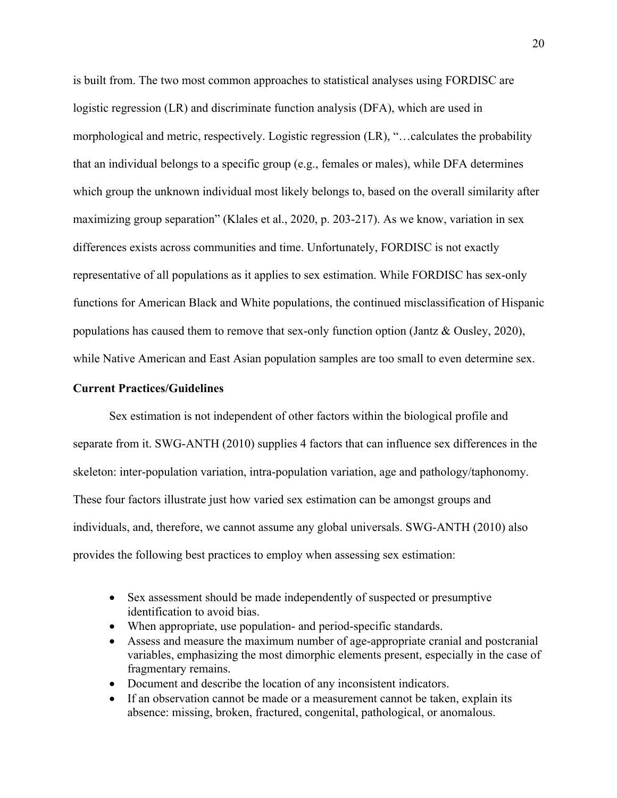is built from. The two most common approaches to statistical analyses using FORDISC are logistic regression (LR) and discriminate function analysis (DFA), which are used in morphological and metric, respectively. Logistic regression (LR), "…calculates the probability that an individual belongs to a specific group (e.g., females or males), while DFA determines which group the unknown individual most likely belongs to, based on the overall similarity after maximizing group separation" (Klales et al., 2020, p. 203-217). As we know, variation in sex differences exists across communities and time. Unfortunately, FORDISC is not exactly representative of all populations as it applies to sex estimation. While FORDISC has sex-only functions for American Black and White populations, the continued misclassification of Hispanic populations has caused them to remove that sex-only function option (Jantz & Ousley, 2020), while Native American and East Asian population samples are too small to even determine sex.

#### **Current Practices/Guidelines**

Sex estimation is not independent of other factors within the biological profile and separate from it. SWG-ANTH (2010) supplies 4 factors that can influence sex differences in the skeleton: inter-population variation, intra-population variation, age and pathology/taphonomy. These four factors illustrate just how varied sex estimation can be amongst groups and individuals, and, therefore, we cannot assume any global universals. SWG-ANTH (2010) also provides the following best practices to employ when assessing sex estimation:

- Sex assessment should be made independently of suspected or presumptive identification to avoid bias.
- When appropriate, use population- and period-specific standards.
- Assess and measure the maximum number of age-appropriate cranial and postcranial variables, emphasizing the most dimorphic elements present, especially in the case of fragmentary remains.
- Document and describe the location of any inconsistent indicators.
- If an observation cannot be made or a measurement cannot be taken, explain its absence: missing, broken, fractured, congenital, pathological, or anomalous.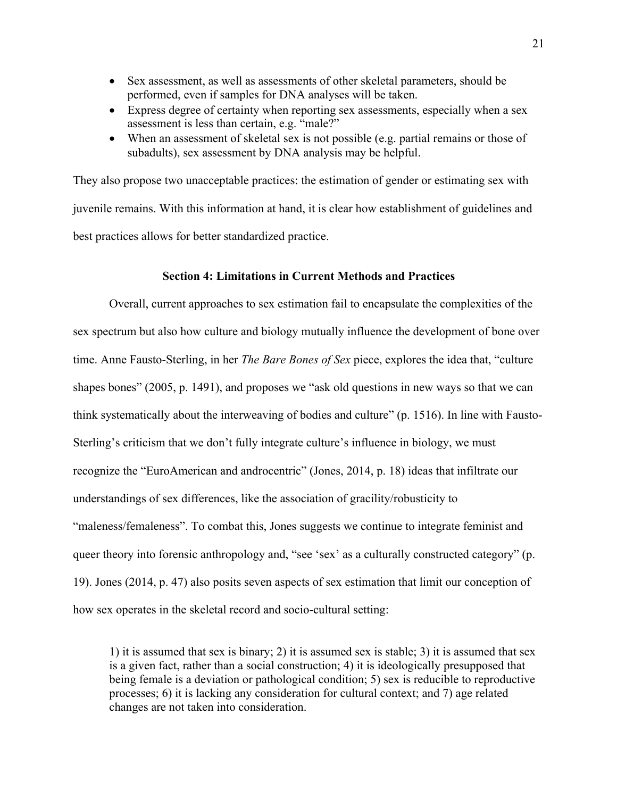- Sex assessment, as well as assessments of other skeletal parameters, should be performed, even if samples for DNA analyses will be taken.
- Express degree of certainty when reporting sex assessments, especially when a sex assessment is less than certain, e.g. "male?"
- When an assessment of skeletal sex is not possible (e.g. partial remains or those of subadults), sex assessment by DNA analysis may be helpful.

They also propose two unacceptable practices: the estimation of gender or estimating sex with juvenile remains. With this information at hand, it is clear how establishment of guidelines and best practices allows for better standardized practice.

#### **Section 4: Limitations in Current Methods and Practices**

Overall, current approaches to sex estimation fail to encapsulate the complexities of the sex spectrum but also how culture and biology mutually influence the development of bone over time. Anne Fausto-Sterling, in her *The Bare Bones of Sex* piece, explores the idea that, "culture shapes bones" (2005, p. 1491), and proposes we "ask old questions in new ways so that we can think systematically about the interweaving of bodies and culture" (p. 1516). In line with Fausto-Sterling's criticism that we don't fully integrate culture's influence in biology, we must recognize the "EuroAmerican and androcentric" (Jones, 2014, p. 18) ideas that infiltrate our understandings of sex differences, like the association of gracility/robusticity to "maleness/femaleness". To combat this, Jones suggests we continue to integrate feminist and queer theory into forensic anthropology and, "see 'sex' as a culturally constructed category" (p. 19). Jones (2014, p. 47) also posits seven aspects of sex estimation that limit our conception of how sex operates in the skeletal record and socio-cultural setting:

1) it is assumed that sex is binary; 2) it is assumed sex is stable; 3) it is assumed that sex is a given fact, rather than a social construction; 4) it is ideologically presupposed that being female is a deviation or pathological condition; 5) sex is reducible to reproductive processes; 6) it is lacking any consideration for cultural context; and 7) age related changes are not taken into consideration.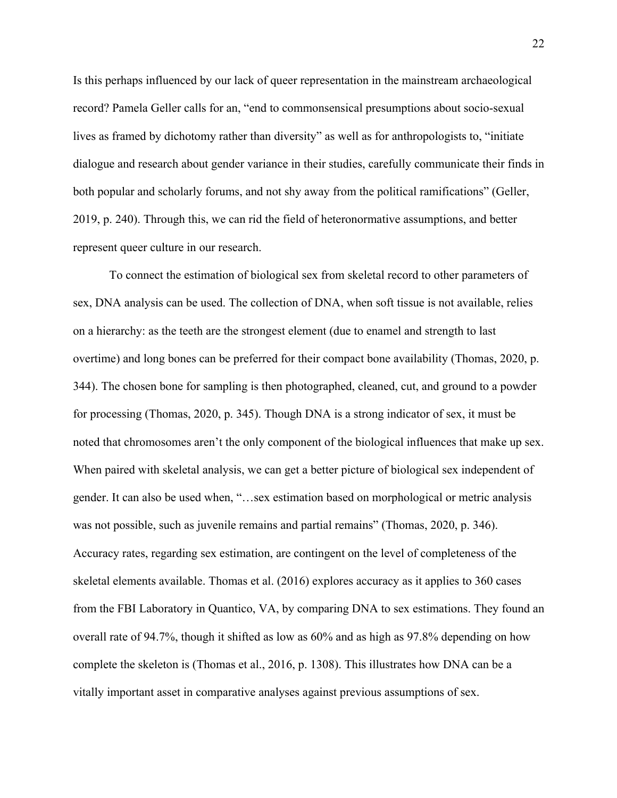Is this perhaps influenced by our lack of queer representation in the mainstream archaeological record? Pamela Geller calls for an, "end to commonsensical presumptions about socio-sexual lives as framed by dichotomy rather than diversity" as well as for anthropologists to, "initiate dialogue and research about gender variance in their studies, carefully communicate their finds in both popular and scholarly forums, and not shy away from the political ramifications" (Geller, 2019, p. 240). Through this, we can rid the field of heteronormative assumptions, and better represent queer culture in our research.

To connect the estimation of biological sex from skeletal record to other parameters of sex, DNA analysis can be used. The collection of DNA, when soft tissue is not available, relies on a hierarchy: as the teeth are the strongest element (due to enamel and strength to last overtime) and long bones can be preferred for their compact bone availability (Thomas, 2020, p. 344). The chosen bone for sampling is then photographed, cleaned, cut, and ground to a powder for processing (Thomas, 2020, p. 345). Though DNA is a strong indicator of sex, it must be noted that chromosomes aren't the only component of the biological influences that make up sex. When paired with skeletal analysis, we can get a better picture of biological sex independent of gender. It can also be used when, "…sex estimation based on morphological or metric analysis was not possible, such as juvenile remains and partial remains" (Thomas, 2020, p. 346). Accuracy rates, regarding sex estimation, are contingent on the level of completeness of the skeletal elements available. Thomas et al. (2016) explores accuracy as it applies to 360 cases from the FBI Laboratory in Quantico, VA, by comparing DNA to sex estimations. They found an overall rate of 94.7%, though it shifted as low as 60% and as high as 97.8% depending on how complete the skeleton is (Thomas et al., 2016, p. 1308). This illustrates how DNA can be a vitally important asset in comparative analyses against previous assumptions of sex.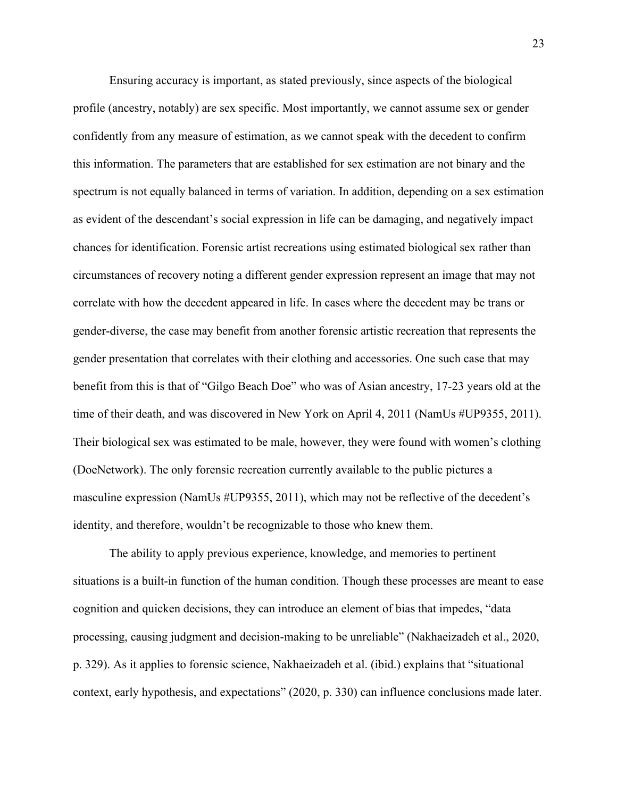Ensuring accuracy is important, as stated previously, since aspects of the biological profile (ancestry, notably) are sex specific. Most importantly, we cannot assume sex or gender confidently from any measure of estimation, as we cannot speak with the decedent to confirm this information. The parameters that are established for sex estimation are not binary and the spectrum is not equally balanced in terms of variation. In addition, depending on a sex estimation as evident of the descendant's social expression in life can be damaging, and negatively impact chances for identification. Forensic artist recreations using estimated biological sex rather than circumstances of recovery noting a different gender expression represent an image that may not correlate with how the decedent appeared in life. In cases where the decedent may be trans or gender-diverse, the case may benefit from another forensic artistic recreation that represents the gender presentation that correlates with their clothing and accessories. One such case that may benefit from this is that of "Gilgo Beach Doe" who was of Asian ancestry, 17-23 years old at the time of their death, and was discovered in New York on April 4, 2011 (NamUs #UP9355, 2011). Their biological sex was estimated to be male, however, they were found with women's clothing (DoeNetwork). The only forensic recreation currently available to the public pictures a masculine expression (NamUs #UP9355, 2011), which may not be reflective of the decedent's identity, and therefore, wouldn't be recognizable to those who knew them.

The ability to apply previous experience, knowledge, and memories to pertinent situations is a built-in function of the human condition. Though these processes are meant to ease cognition and quicken decisions, they can introduce an element of bias that impedes, "data processing, causing judgment and decision-making to be unreliable" (Nakhaeizadeh et al., 2020, p. 329). As it applies to forensic science, Nakhaeizadeh et al. (ibid.) explains that "situational context, early hypothesis, and expectations" (2020, p. 330) can influence conclusions made later.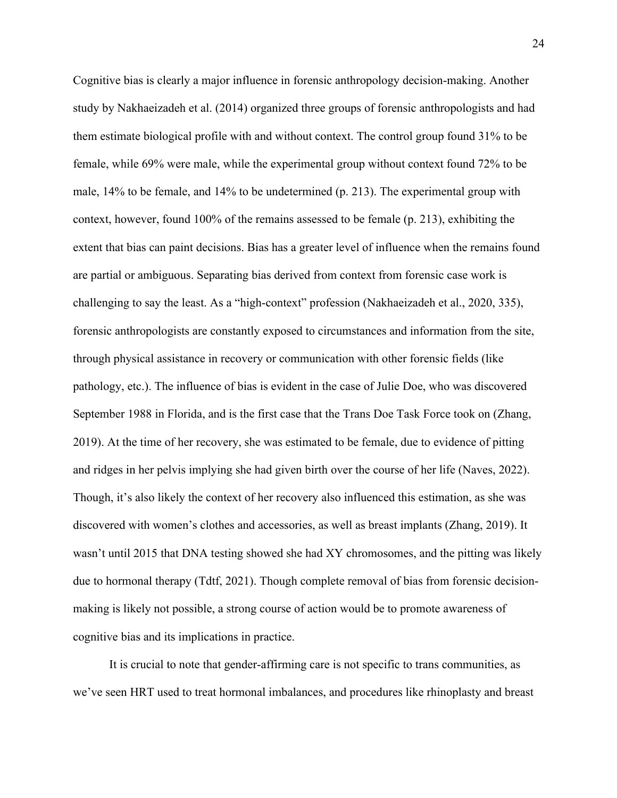Cognitive bias is clearly a major influence in forensic anthropology decision-making. Another study by Nakhaeizadeh et al. (2014) organized three groups of forensic anthropologists and had them estimate biological profile with and without context. The control group found 31% to be female, while 69% were male, while the experimental group without context found 72% to be male, 14% to be female, and 14% to be undetermined (p. 213). The experimental group with context, however, found 100% of the remains assessed to be female (p. 213), exhibiting the extent that bias can paint decisions. Bias has a greater level of influence when the remains found are partial or ambiguous. Separating bias derived from context from forensic case work is challenging to say the least. As a "high-context" profession (Nakhaeizadeh et al., 2020, 335), forensic anthropologists are constantly exposed to circumstances and information from the site, through physical assistance in recovery or communication with other forensic fields (like pathology, etc.). The influence of bias is evident in the case of Julie Doe, who was discovered September 1988 in Florida, and is the first case that the Trans Doe Task Force took on (Zhang, 2019). At the time of her recovery, she was estimated to be female, due to evidence of pitting and ridges in her pelvis implying she had given birth over the course of her life (Naves, 2022). Though, it's also likely the context of her recovery also influenced this estimation, as she was discovered with women's clothes and accessories, as well as breast implants (Zhang, 2019). It wasn't until 2015 that DNA testing showed she had XY chromosomes, and the pitting was likely due to hormonal therapy (Tdtf, 2021). Though complete removal of bias from forensic decisionmaking is likely not possible, a strong course of action would be to promote awareness of cognitive bias and its implications in practice.

It is crucial to note that gender-affirming care is not specific to trans communities, as we've seen HRT used to treat hormonal imbalances, and procedures like rhinoplasty and breast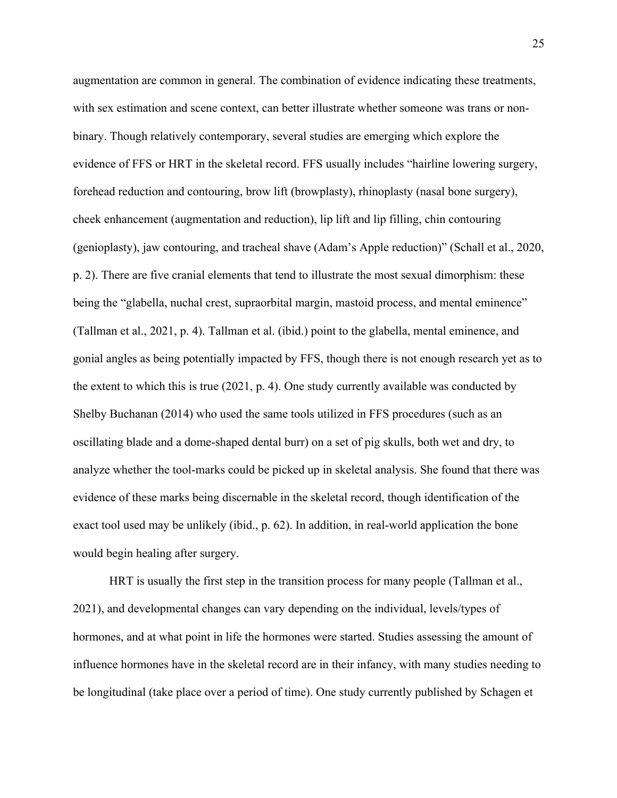augmentation are common in general. The combination of evidence indicating these treatments, with sex estimation and scene context, can better illustrate whether someone was trans or nonbinary. Though relatively contemporary, several studies are emerging which explore the evidence of FFS or HRT in the skeletal record. FFS usually includes "hairline lowering surgery, forehead reduction and contouring, brow lift (browplasty), rhinoplasty (nasal bone surgery), cheek enhancement (augmentation and reduction), lip lift and lip filling, chin contouring (genioplasty), jaw contouring, and tracheal shave (Adam's Apple reduction)" (Schall et al., 2020, p. 2). There are five cranial elements that tend to illustrate the most sexual dimorphism: these being the "glabella, nuchal crest, supraorbital margin, mastoid process, and mental eminence" (Tallman et al., 2021, p. 4). Tallman et al. (ibid.) point to the glabella, mental eminence, and gonial angles as being potentially impacted by FFS, though there is not enough research yet as to the extent to which this is true (2021, p. 4). One study currently available was conducted by Shelby Buchanan (2014) who used the same tools utilized in FFS procedures (such as an oscillating blade and a dome-shaped dental burr) on a set of pig skulls, both wet and dry, to analyze whether the tool-marks could be picked up in skeletal analysis. She found that there was evidence of these marks being discernable in the skeletal record, though identification of the exact tool used may be unlikely (ibid., p. 62). In addition, in real-world application the bone would begin healing after surgery.

HRT is usually the first step in the transition process for many people (Tallman et al., 2021), and developmental changes can vary depending on the individual, levels/types of hormones, and at what point in life the hormones were started. Studies assessing the amount of influence hormones have in the skeletal record are in their infancy, with many studies needing to be longitudinal (take place over a period of time). One study currently published by Schagen et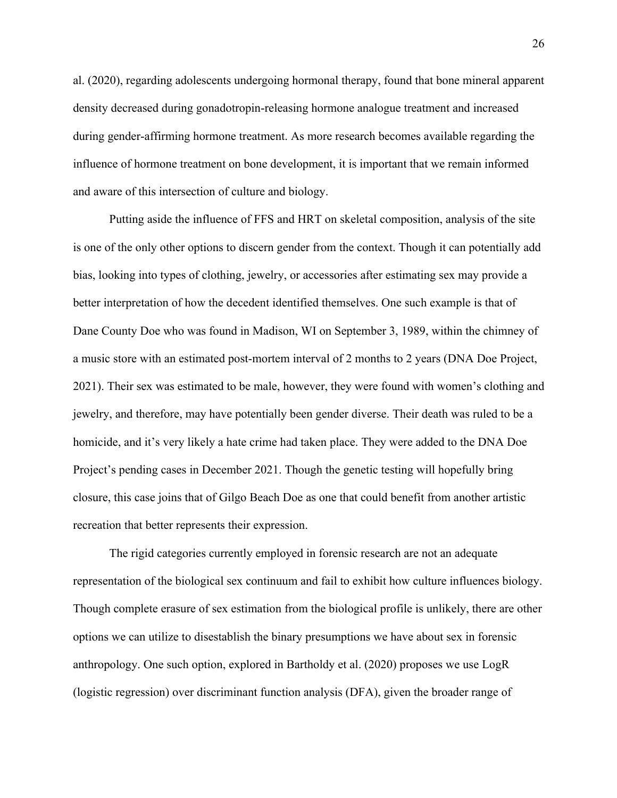al. (2020), regarding adolescents undergoing hormonal therapy, found that bone mineral apparent density decreased during gonadotropin-releasing hormone analogue treatment and increased during gender-affirming hormone treatment. As more research becomes available regarding the influence of hormone treatment on bone development, it is important that we remain informed and aware of this intersection of culture and biology.

Putting aside the influence of FFS and HRT on skeletal composition, analysis of the site is one of the only other options to discern gender from the context. Though it can potentially add bias, looking into types of clothing, jewelry, or accessories after estimating sex may provide a better interpretation of how the decedent identified themselves. One such example is that of Dane County Doe who was found in Madison, WI on September 3, 1989, within the chimney of a music store with an estimated post-mortem interval of 2 months to 2 years (DNA Doe Project, 2021). Their sex was estimated to be male, however, they were found with women's clothing and jewelry, and therefore, may have potentially been gender diverse. Their death was ruled to be a homicide, and it's very likely a hate crime had taken place. They were added to the DNA Doe Project's pending cases in December 2021. Though the genetic testing will hopefully bring closure, this case joins that of Gilgo Beach Doe as one that could benefit from another artistic recreation that better represents their expression.

The rigid categories currently employed in forensic research are not an adequate representation of the biological sex continuum and fail to exhibit how culture influences biology. Though complete erasure of sex estimation from the biological profile is unlikely, there are other options we can utilize to disestablish the binary presumptions we have about sex in forensic anthropology. One such option, explored in Bartholdy et al. (2020) proposes we use LogR (logistic regression) over discriminant function analysis (DFA), given the broader range of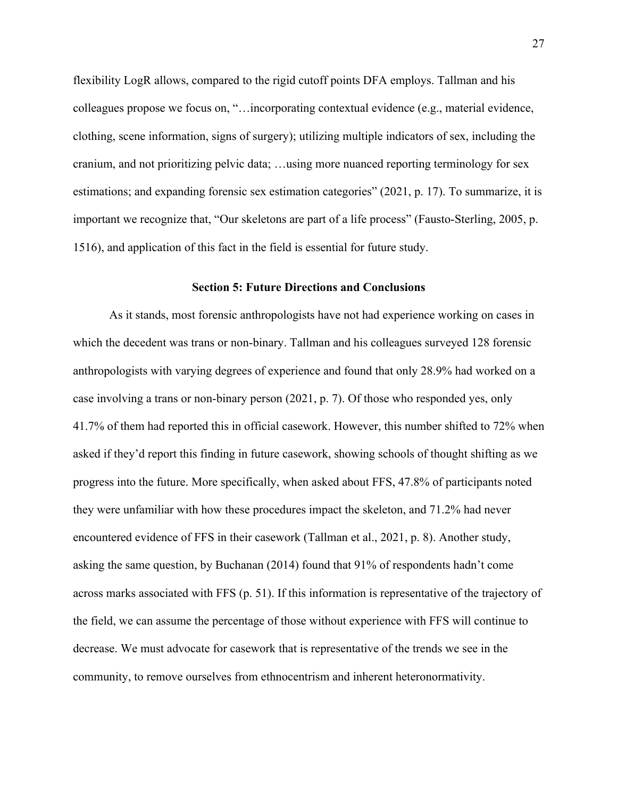flexibility LogR allows, compared to the rigid cutoff points DFA employs. Tallman and his colleagues propose we focus on, "…incorporating contextual evidence (e.g., material evidence, clothing, scene information, signs of surgery); utilizing multiple indicators of sex, including the cranium, and not prioritizing pelvic data; …using more nuanced reporting terminology for sex estimations; and expanding forensic sex estimation categories" (2021, p. 17). To summarize, it is important we recognize that, "Our skeletons are part of a life process" (Fausto-Sterling, 2005, p. 1516), and application of this fact in the field is essential for future study.

#### **Section 5: Future Directions and Conclusions**

As it stands, most forensic anthropologists have not had experience working on cases in which the decedent was trans or non-binary. Tallman and his colleagues surveyed 128 forensic anthropologists with varying degrees of experience and found that only 28.9% had worked on a case involving a trans or non-binary person (2021, p. 7). Of those who responded yes, only 41.7% of them had reported this in official casework. However, this number shifted to 72% when asked if they'd report this finding in future casework, showing schools of thought shifting as we progress into the future. More specifically, when asked about FFS, 47.8% of participants noted they were unfamiliar with how these procedures impact the skeleton, and 71.2% had never encountered evidence of FFS in their casework (Tallman et al., 2021, p. 8). Another study, asking the same question, by Buchanan (2014) found that 91% of respondents hadn't come across marks associated with FFS (p. 51). If this information is representative of the trajectory of the field, we can assume the percentage of those without experience with FFS will continue to decrease. We must advocate for casework that is representative of the trends we see in the community, to remove ourselves from ethnocentrism and inherent heteronormativity.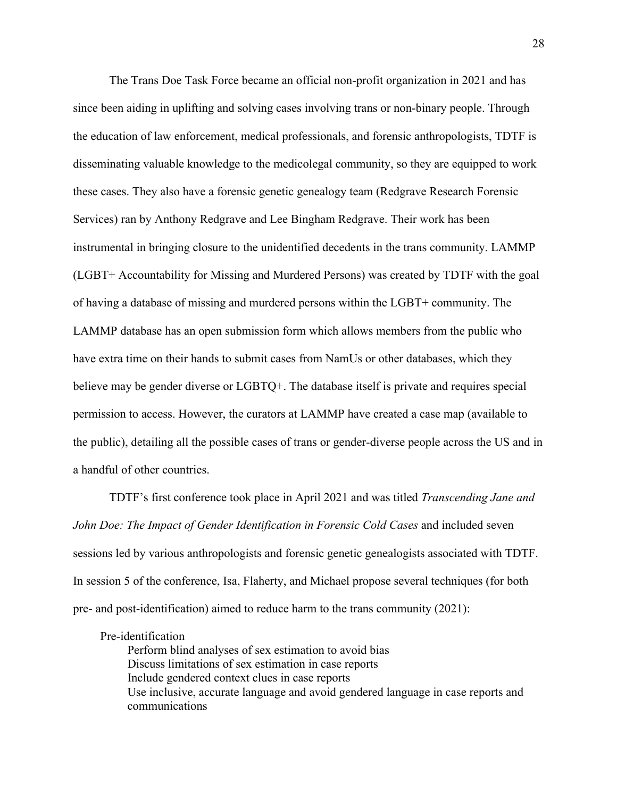The Trans Doe Task Force became an official non-profit organization in 2021 and has since been aiding in uplifting and solving cases involving trans or non-binary people. Through the education of law enforcement, medical professionals, and forensic anthropologists, TDTF is disseminating valuable knowledge to the medicolegal community, so they are equipped to work these cases. They also have a forensic genetic genealogy team (Redgrave Research Forensic Services) ran by Anthony Redgrave and Lee Bingham Redgrave. Their work has been instrumental in bringing closure to the unidentified decedents in the trans community. LAMMP (LGBT+ Accountability for Missing and Murdered Persons) was created by TDTF with the goal of having a database of missing and murdered persons within the LGBT+ community. The LAMMP database has an open submission form which allows members from the public who have extra time on their hands to submit cases from NamUs or other databases, which they believe may be gender diverse or LGBTQ+. The database itself is private and requires special permission to access. However, the curators at LAMMP have created a case map (available to the public), detailing all the possible cases of trans or gender-diverse people across the US and in a handful of other countries.

TDTF's first conference took place in April 2021 and was titled *Transcending Jane and John Doe: The Impact of Gender Identification in Forensic Cold Cases* and included seven sessions led by various anthropologists and forensic genetic genealogists associated with TDTF. In session 5 of the conference, Isa, Flaherty, and Michael propose several techniques (for both pre- and post-identification) aimed to reduce harm to the trans community (2021):

#### Pre-identification

Perform blind analyses of sex estimation to avoid bias Discuss limitations of sex estimation in case reports Include gendered context clues in case reports Use inclusive, accurate language and avoid gendered language in case reports and communications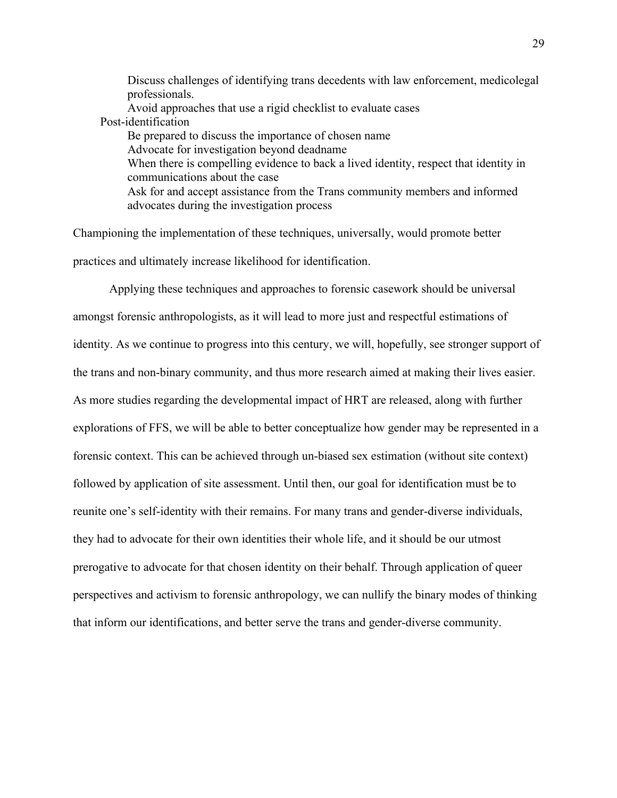Discuss challenges of identifying trans decedents with law enforcement, medicolegal professionals. Avoid approaches that use a rigid checklist to evaluate cases Post-identification Be prepared to discuss the importance of chosen name Advocate for investigation beyond deadname When there is compelling evidence to back a lived identity, respect that identity in communications about the case Ask for and accept assistance from the Trans community members and informed advocates during the investigation process

Championing the implementation of these techniques, universally, would promote better practices and ultimately increase likelihood for identification.

Applying these techniques and approaches to forensic casework should be universal amongst forensic anthropologists, as it will lead to more just and respectful estimations of identity. As we continue to progress into this century, we will, hopefully, see stronger support of the trans and non-binary community, and thus more research aimed at making their lives easier. As more studies regarding the developmental impact of HRT are released, along with further explorations of FFS, we will be able to better conceptualize how gender may be represented in a forensic context. This can be achieved through un-biased sex estimation (without site context) followed by application of site assessment. Until then, our goal for identification must be to reunite one's self-identity with their remains. For many trans and gender-diverse individuals, they had to advocate for their own identities their whole life, and it should be our utmost prerogative to advocate for that chosen identity on their behalf. Through application of queer perspectives and activism to forensic anthropology, we can nullify the binary modes of thinking that inform our identifications, and better serve the trans and gender-diverse community.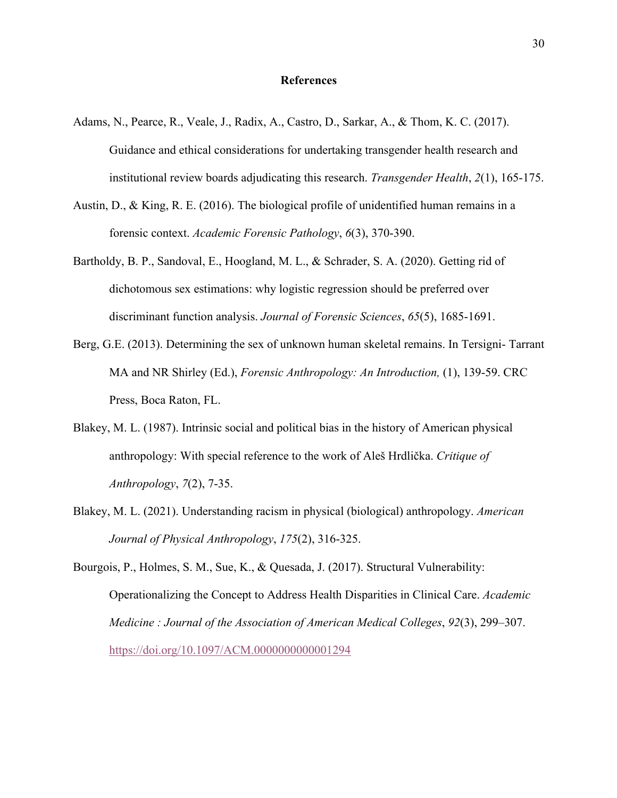#### **References**

- Adams, N., Pearce, R., Veale, J., Radix, A., Castro, D., Sarkar, A., & Thom, K. C. (2017). Guidance and ethical considerations for undertaking transgender health research and institutional review boards adjudicating this research. *Transgender Health*, *2*(1), 165-175.
- Austin, D., & King, R. E. (2016). The biological profile of unidentified human remains in a forensic context. *Academic Forensic Pathology*, *6*(3), 370-390.
- Bartholdy, B. P., Sandoval, E., Hoogland, M. L., & Schrader, S. A. (2020). Getting rid of dichotomous sex estimations: why logistic regression should be preferred over discriminant function analysis. *Journal of Forensic Sciences*, *65*(5), 1685-1691.
- Berg, G.E. (2013). Determining the sex of unknown human skeletal remains. In Tersigni- Tarrant MA and NR Shirley (Ed.), *Forensic Anthropology: An Introduction,* (1), 139-59. CRC Press, Boca Raton, FL.
- Blakey, M. L. (1987). Intrinsic social and political bias in the history of American physical anthropology: With special reference to the work of Aleš Hrdlička. *Critique of Anthropology*, *7*(2), 7-35.
- Blakey, M. L. (2021). Understanding racism in physical (biological) anthropology. *American Journal of Physical Anthropology*, *175*(2), 316-325.

Bourgois, P., Holmes, S. M., Sue, K., & Quesada, J. (2017). Structural Vulnerability: Operationalizing the Concept to Address Health Disparities in Clinical Care. *Academic Medicine : Journal of the Association of American Medical Colleges*, *92*(3), 299–307. https://doi.org/10.1097/ACM.0000000000001294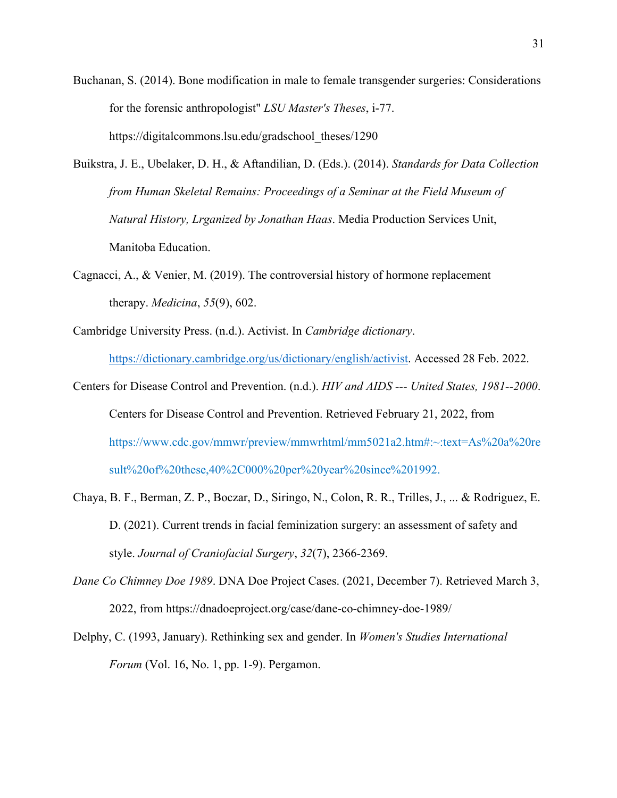- Buchanan, S. (2014). Bone modification in male to female transgender surgeries: Considerations for the forensic anthropologist" *LSU Master's Theses*, i-77. https://digitalcommons.lsu.edu/gradschool\_theses/1290
- Buikstra, J. E., Ubelaker, D. H., & Aftandilian, D. (Eds.). (2014). *Standards for Data Collection from Human Skeletal Remains: Proceedings of a Seminar at the Field Museum of Natural History, Lrganized by Jonathan Haas*. Media Production Services Unit, Manitoba Education.
- Cagnacci, A., & Venier, M. (2019). The controversial history of hormone replacement therapy. *Medicina*, *55*(9), 602.
- Cambridge University Press. (n.d.). Activist. In *Cambridge dictionary*. https://dictionary.cambridge.org/us/dictionary/english/activist. Accessed 28 Feb. 2022.
- Centers for Disease Control and Prevention. (n.d.). *HIV and AIDS --- United States, 1981--2000*. Centers for Disease Control and Prevention. Retrieved February 21, 2022, from https://www.cdc.gov/mmwr/preview/mmwrhtml/mm5021a2.htm#:~:text=As%20a%20re sult%20of%20these,40%2C000%20per%20year%20since%201992.
- Chaya, B. F., Berman, Z. P., Boczar, D., Siringo, N., Colon, R. R., Trilles, J., ... & Rodriguez, E. D. (2021). Current trends in facial feminization surgery: an assessment of safety and style. *Journal of Craniofacial Surgery*, *32*(7), 2366-2369.
- *Dane Co Chimney Doe 1989*. DNA Doe Project Cases. (2021, December 7). Retrieved March 3, 2022, from https://dnadoeproject.org/case/dane-co-chimney-doe-1989/
- Delphy, C. (1993, January). Rethinking sex and gender. In *Women's Studies International Forum* (Vol. 16, No. 1, pp. 1-9). Pergamon.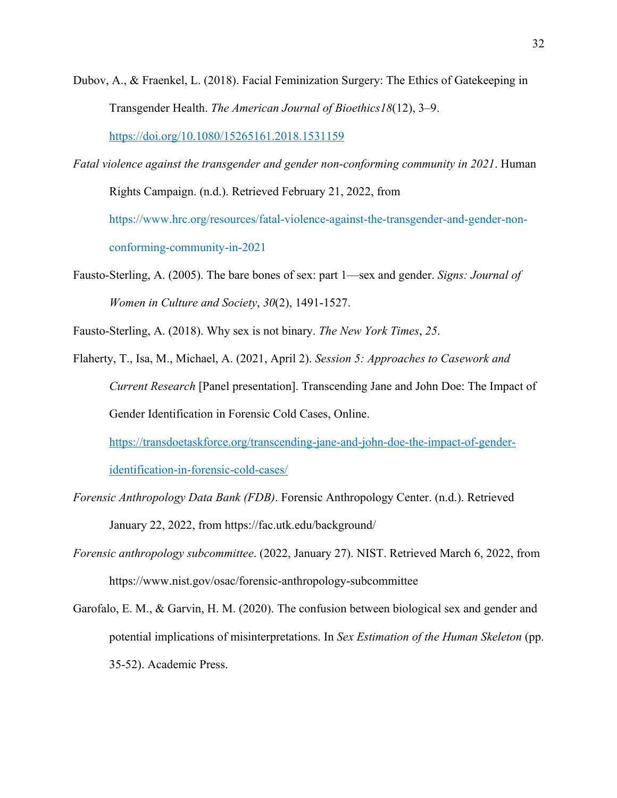Dubov, A., & Fraenkel, L. (2018). Facial Feminization Surgery: The Ethics of Gatekeeping in Transgender Health. *The American Journal of Bioethics18*(12), 3–9.

https://doi.org/10.1080/15265161.2018.1531159

- *Fatal violence against the transgender and gender non-conforming community in 2021*. Human Rights Campaign. (n.d.). Retrieved February 21, 2022, from https://www.hrc.org/resources/fatal-violence-against-the-transgender-and-gender-nonconforming-community-in-2021
- Fausto-Sterling, A. (2005). The bare bones of sex: part 1—sex and gender. *Signs: Journal of Women in Culture and Society*, *30*(2), 1491-1527.

Fausto-Sterling, A. (2018). Why sex is not binary. *The New York Times*, *25*.

Flaherty, T., Isa, M., Michael, A. (2021, April 2). *Session 5: Approaches to Casework and Current Research* [Panel presentation]. Transcending Jane and John Doe: The Impact of Gender Identification in Forensic Cold Cases, Online.

https://transdoetaskforce.org/transcending-jane-and-john-doe-the-impact-of-gender-

identification-in-forensic-cold-cases/

- *Forensic Anthropology Data Bank (FDB)*. Forensic Anthropology Center. (n.d.). Retrieved January 22, 2022, from https://fac.utk.edu/background/
- *Forensic anthropology subcommittee*. (2022, January 27). NIST. Retrieved March 6, 2022, from https://www.nist.gov/osac/forensic-anthropology-subcommittee
- Garofalo, E. M., & Garvin, H. M. (2020). The confusion between biological sex and gender and potential implications of misinterpretations. In *Sex Estimation of the Human Skeleton* (pp. 35-52). Academic Press.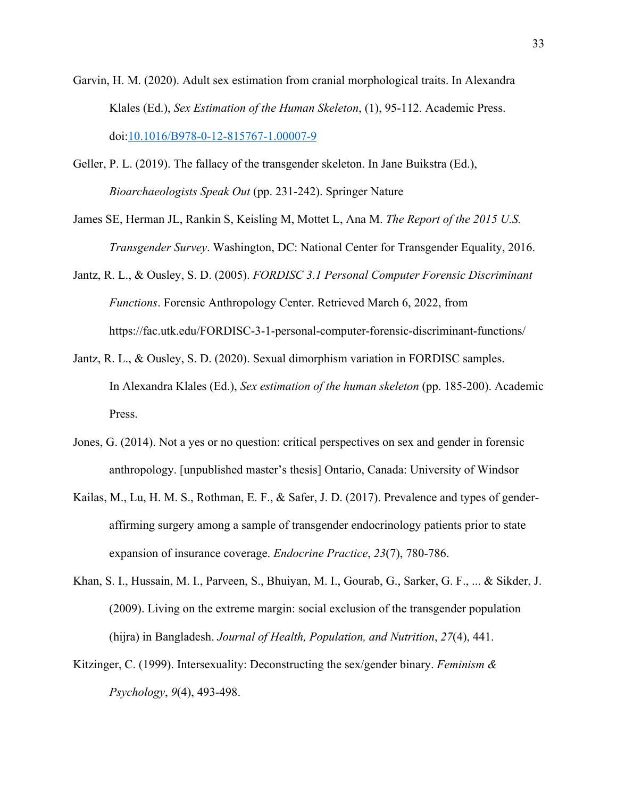- Garvin, H. M. (2020). Adult sex estimation from cranial morphological traits. In Alexandra Klales (Ed.), *Sex Estimation of the Human Skeleton*, (1), 95-112. Academic Press. doi:10.1016/B978-0-12-815767-1.00007-9
- Geller, P. L. (2019). The fallacy of the transgender skeleton. In Jane Buikstra (Ed.), *Bioarchaeologists Speak Out* (pp. 231-242). Springer Nature
- James SE, Herman JL, Rankin S, Keisling M, Mottet L, Ana M. *The Report of the 2015 U.S. Transgender Survey*. Washington, DC: National Center for Transgender Equality, 2016.
- Jantz, R. L., & Ousley, S. D. (2005). *FORDISC 3.1 Personal Computer Forensic Discriminant Functions*. Forensic Anthropology Center. Retrieved March 6, 2022, from https://fac.utk.edu/FORDISC-3-1-personal-computer-forensic-discriminant-functions/
- Jantz, R. L., & Ousley, S. D. (2020). Sexual dimorphism variation in FORDISC samples. In Alexandra Klales (Ed.), *Sex estimation of the human skeleton* (pp. 185-200). Academic Press.
- Jones, G. (2014). Not a yes or no question: critical perspectives on sex and gender in forensic anthropology. [unpublished master's thesis] Ontario, Canada: University of Windsor
- Kailas, M., Lu, H. M. S., Rothman, E. F., & Safer, J. D. (2017). Prevalence and types of genderaffirming surgery among a sample of transgender endocrinology patients prior to state expansion of insurance coverage. *Endocrine Practice*, *23*(7), 780-786.
- Khan, S. I., Hussain, M. I., Parveen, S., Bhuiyan, M. I., Gourab, G., Sarker, G. F., ... & Sikder, J. (2009). Living on the extreme margin: social exclusion of the transgender population (hijra) in Bangladesh. *Journal of Health, Population, and Nutrition*, *27*(4), 441.
- Kitzinger, C. (1999). Intersexuality: Deconstructing the sex/gender binary. *Feminism & Psychology*, *9*(4), 493-498.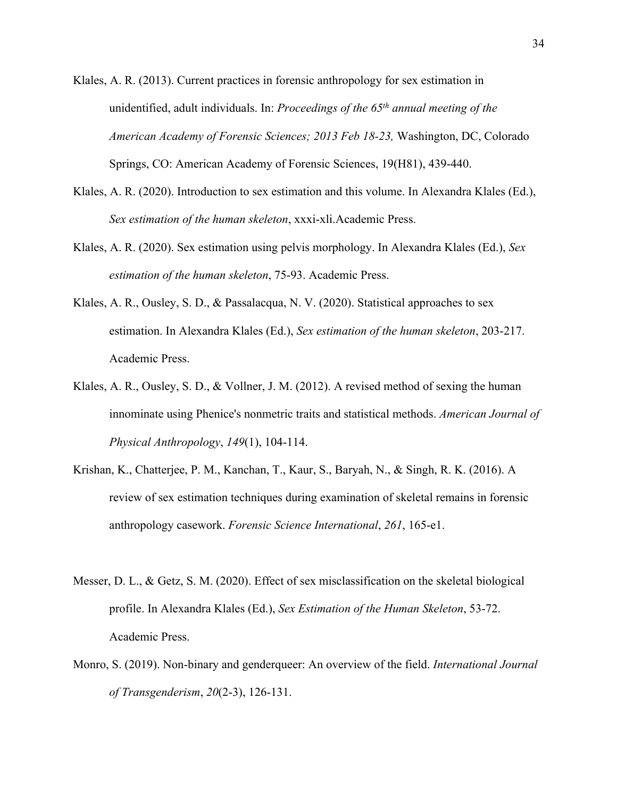- Klales, A. R. (2013). Current practices in forensic anthropology for sex estimation in unidentified, adult individuals. In: *Proceedings of the 65th annual meeting of the American Academy of Forensic Sciences; 2013 Feb 18-23,* Washington, DC, Colorado Springs, CO: American Academy of Forensic Sciences, 19(H81), 439-440.
- Klales, A. R. (2020). Introduction to sex estimation and this volume. In Alexandra Klales (Ed.), *Sex estimation of the human skeleton*, xxxi-xli.Academic Press.
- Klales, A. R. (2020). Sex estimation using pelvis morphology. In Alexandra Klales (Ed.), *Sex estimation of the human skeleton*, 75-93. Academic Press.
- Klales, A. R., Ousley, S. D., & Passalacqua, N. V. (2020). Statistical approaches to sex estimation. In Alexandra Klales (Ed.), *Sex estimation of the human skeleton*, 203-217. Academic Press.
- Klales, A. R., Ousley, S. D., & Vollner, J. M. (2012). A revised method of sexing the human innominate using Phenice's nonmetric traits and statistical methods. *American Journal of Physical Anthropology*, *149*(1), 104-114.
- Krishan, K., Chatterjee, P. M., Kanchan, T., Kaur, S., Baryah, N., & Singh, R. K. (2016). A review of sex estimation techniques during examination of skeletal remains in forensic anthropology casework. *Forensic Science International*, *261*, 165-e1.
- Messer, D. L., & Getz, S. M. (2020). Effect of sex misclassification on the skeletal biological profile. In Alexandra Klales (Ed.), *Sex Estimation of the Human Skeleton*, 53-72. Academic Press.
- Monro, S. (2019). Non-binary and genderqueer: An overview of the field. *International Journal of Transgenderism*, *20*(2-3), 126-131.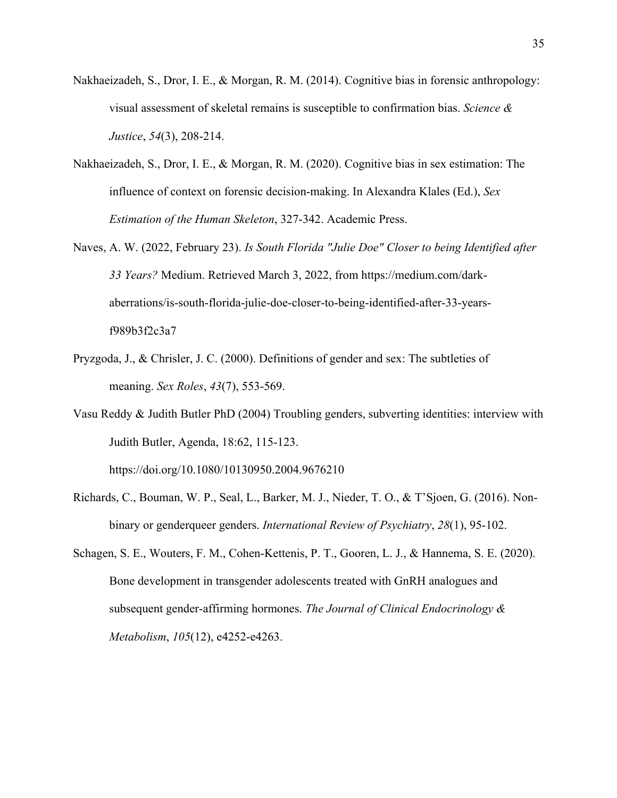- Nakhaeizadeh, S., Dror, I. E., & Morgan, R. M. (2014). Cognitive bias in forensic anthropology: visual assessment of skeletal remains is susceptible to confirmation bias. *Science & Justice*, *54*(3), 208-214.
- Nakhaeizadeh, S., Dror, I. E., & Morgan, R. M. (2020). Cognitive bias in sex estimation: The influence of context on forensic decision-making. In Alexandra Klales (Ed.), *Sex Estimation of the Human Skeleton*, 327-342. Academic Press.
- Naves, A. W. (2022, February 23). *Is South Florida "Julie Doe" Closer to being Identified after 33 Years?* Medium. Retrieved March 3, 2022, from https://medium.com/darkaberrations/is-south-florida-julie-doe-closer-to-being-identified-after-33-yearsf989b3f2c3a7
- Pryzgoda, J., & Chrisler, J. C. (2000). Definitions of gender and sex: The subtleties of meaning. *Sex Roles*, *43*(7), 553-569.
- Vasu Reddy & Judith Butler PhD (2004) Troubling genders, subverting identities: interview with Judith Butler, Agenda, 18:62, 115-123.

https://doi.org/10.1080/10130950.2004.9676210

- Richards, C., Bouman, W. P., Seal, L., Barker, M. J., Nieder, T. O., & T'Sjoen, G. (2016). Nonbinary or genderqueer genders. *International Review of Psychiatry*, *28*(1), 95-102.
- Schagen, S. E., Wouters, F. M., Cohen-Kettenis, P. T., Gooren, L. J., & Hannema, S. E. (2020). Bone development in transgender adolescents treated with GnRH analogues and subsequent gender-affirming hormones. *The Journal of Clinical Endocrinology & Metabolism*, *105*(12), e4252-e4263.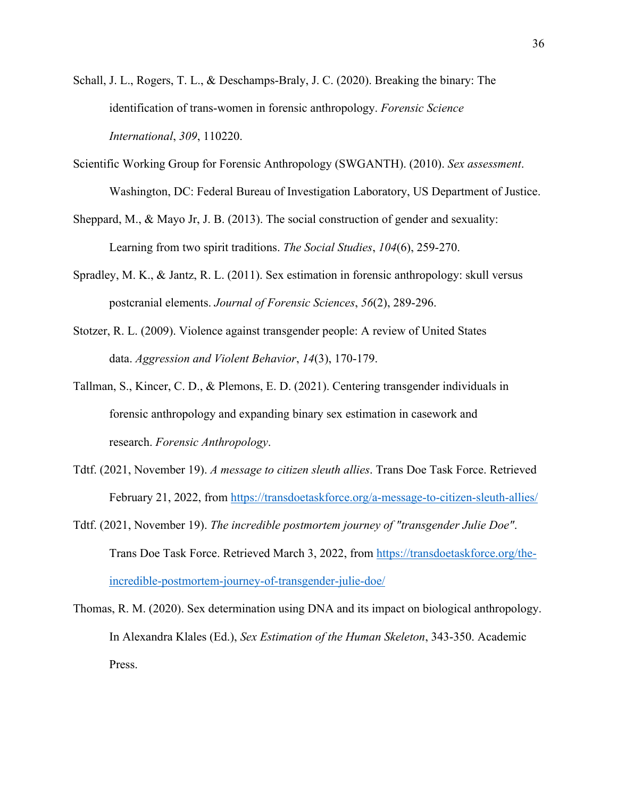- Schall, J. L., Rogers, T. L., & Deschamps-Braly, J. C. (2020). Breaking the binary: The identification of trans-women in forensic anthropology. *Forensic Science International*, *309*, 110220.
- Scientific Working Group for Forensic Anthropology (SWGANTH). (2010). *Sex assessment*. Washington, DC: Federal Bureau of Investigation Laboratory, US Department of Justice.
- Sheppard, M., & Mayo Jr, J. B. (2013). The social construction of gender and sexuality: Learning from two spirit traditions. *The Social Studies*, *104*(6), 259-270.
- Spradley, M. K., & Jantz, R. L. (2011). Sex estimation in forensic anthropology: skull versus postcranial elements. *Journal of Forensic Sciences*, *56*(2), 289-296.
- Stotzer, R. L. (2009). Violence against transgender people: A review of United States data. *Aggression and Violent Behavior*, *14*(3), 170-179.
- Tallman, S., Kincer, C. D., & Plemons, E. D. (2021). Centering transgender individuals in forensic anthropology and expanding binary sex estimation in casework and research. *Forensic Anthropology*.
- Tdtf. (2021, November 19). *A message to citizen sleuth allies*. Trans Doe Task Force. Retrieved February 21, 2022, from https://transdoetaskforce.org/a-message-to-citizen-sleuth-allies/
- Tdtf. (2021, November 19). *The incredible postmortem journey of "transgender Julie Doe"*. Trans Doe Task Force. Retrieved March 3, 2022, from https://transdoetaskforce.org/theincredible-postmortem-journey-of-transgender-julie-doe/
- Thomas, R. M. (2020). Sex determination using DNA and its impact on biological anthropology. In Alexandra Klales (Ed.), *Sex Estimation of the Human Skeleton*, 343-350. Academic Press.